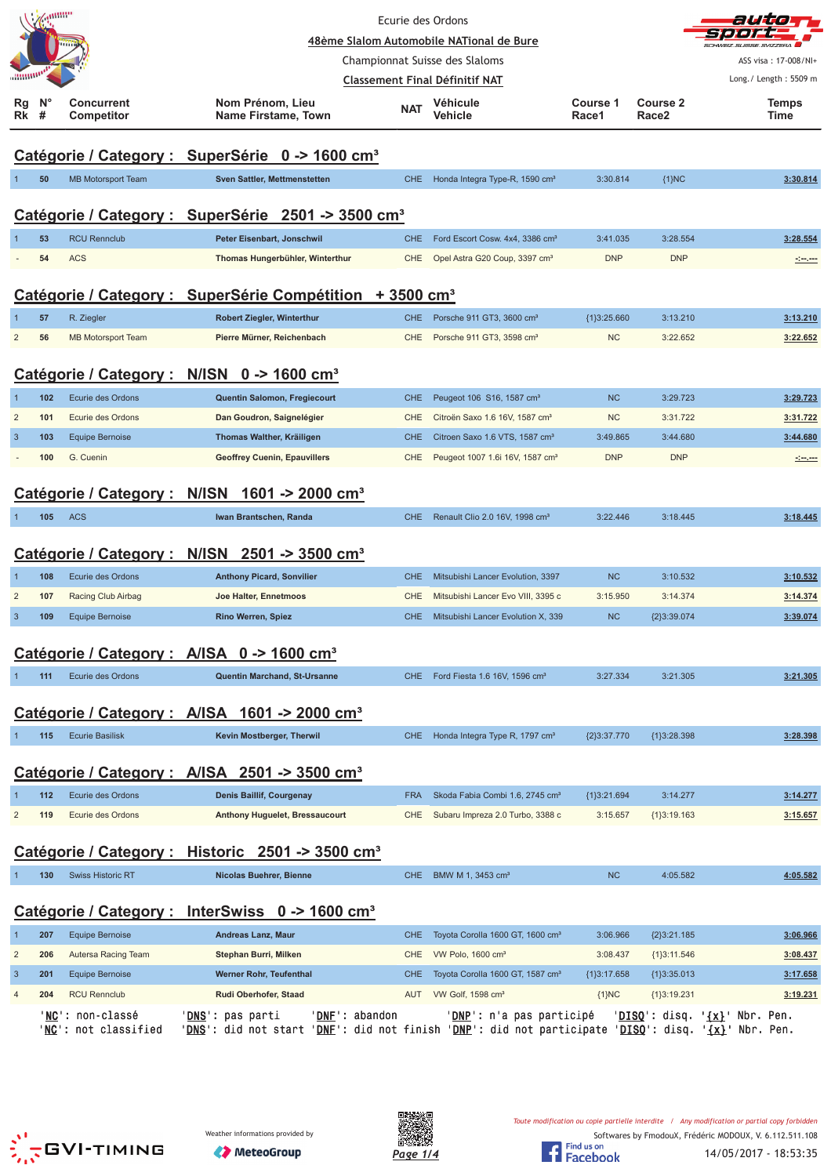|                         | annin                                                       |                                          |                                                                                                                                                             | Ecurie des Ordons | 48ème Slalom Automobile NATional de Bure     |                   |                               |                                                 |  |  |
|-------------------------|-------------------------------------------------------------|------------------------------------------|-------------------------------------------------------------------------------------------------------------------------------------------------------------|-------------------|----------------------------------------------|-------------------|-------------------------------|-------------------------------------------------|--|--|
|                         |                                                             |                                          |                                                                                                                                                             |                   | Championnat Suisse des Slaloms               |                   |                               | ASS visa: 17-008/NI+                            |  |  |
|                         |                                                             |                                          |                                                                                                                                                             |                   | <b>Classement Final Définitif NAT</b>        |                   |                               | Long./ Length: 5509 m                           |  |  |
| Rg<br>Rk                | N <sub>c</sub><br>#                                         | Concurrent<br><b>Competitor</b>          | Nom Prénom, Lieu<br>Name Firstame, Town                                                                                                                     | <b>NAT</b>        | Véhicule<br><b>Vehicle</b>                   | Course 1<br>Race1 | Course 2<br>Race <sub>2</sub> | Temps<br>Time                                   |  |  |
|                         | Catégorie / Category : SuperSérie 0 -> 1600 cm <sup>3</sup> |                                          |                                                                                                                                                             |                   |                                              |                   |                               |                                                 |  |  |
|                         | 50                                                          | <b>MB Motorsport Team</b>                | Sven Sattler, Mettmenstetten                                                                                                                                | <b>CHE</b>        | Honda Integra Type-R, 1590 cm <sup>3</sup>   | 3:30.814          | ${1}NC$                       | 3:30.814                                        |  |  |
|                         |                                                             |                                          | Catégorie / Category : SuperSérie 2501 -> 3500 cm <sup>3</sup>                                                                                              |                   |                                              |                   |                               |                                                 |  |  |
|                         | 53                                                          | <b>RCU Rennclub</b>                      | Peter Eisenbart, Jonschwil                                                                                                                                  | <b>CHE</b>        | Ford Escort Cosw. 4x4, 3386 cm <sup>3</sup>  | 3:41.035          | 3:28.554                      | 3:28.554                                        |  |  |
|                         | 54                                                          | <b>ACS</b>                               | Thomas Hungerbühler, Winterthur                                                                                                                             | <b>CHE</b>        | Opel Astra G20 Coup, 3397 cm <sup>3</sup>    | <b>DNP</b>        | <b>DNP</b>                    |                                                 |  |  |
|                         |                                                             |                                          | Catégorie / Category : SuperSérie Compétition + 3500 cm <sup>3</sup>                                                                                        |                   |                                              |                   |                               |                                                 |  |  |
|                         | 57                                                          | R. Ziegler                               | <b>Robert Ziegler, Winterthur</b>                                                                                                                           | <b>CHE</b>        | Porsche 911 GT3, 3600 cm <sup>3</sup>        | ${1}3:25.660$     | 3:13.210                      | 3:13.210                                        |  |  |
| $\overline{2}$          | 56                                                          | <b>MB Motorsport Team</b>                | Pierre Mürner, Reichenbach                                                                                                                                  | <b>CHE</b>        | Porsche 911 GT3, 3598 cm <sup>3</sup>        | <b>NC</b>         | 3:22.652                      | 3:22.652                                        |  |  |
|                         |                                                             |                                          | Catégorie / Category : N/ISN 0 -> 1600 cm <sup>3</sup>                                                                                                      |                   |                                              |                   |                               |                                                 |  |  |
|                         | 102                                                         | Ecurie des Ordons                        | Quentin Salomon, Fregiecourt                                                                                                                                | <b>CHE</b>        | Peugeot 106 S16, 1587 cm <sup>3</sup>        | <b>NC</b>         | 3:29.723                      | 3:29.723                                        |  |  |
| $\overline{2}$          | 101                                                         | Ecurie des Ordons                        | Dan Goudron, Saignelégier                                                                                                                                   | CHE               | Citroën Saxo 1.6 16V, 1587 cm <sup>3</sup>   | <b>NC</b>         | 3:31.722                      | 3:31.722                                        |  |  |
| 3                       | 103                                                         | <b>Equipe Bernoise</b>                   | Thomas Walther, Kräiligen                                                                                                                                   | <b>CHE</b>        | Citroen Saxo 1.6 VTS, 1587 cm <sup>3</sup>   | 3:49.865          | 3:44.680                      | 3:44.680                                        |  |  |
|                         | 100                                                         | G. Cuenin                                | <b>Geoffrey Cuenin, Epauvillers</b>                                                                                                                         | <b>CHE</b>        | Peugeot 1007 1.6i 16V, 1587 cm <sup>3</sup>  | <b>DNP</b>        | <b>DNP</b>                    | <u> 1000 - 100</u>                              |  |  |
|                         |                                                             | Catégorie / Category : N/ISN             | 1601 -> 2000 cm <sup>3</sup>                                                                                                                                |                   |                                              |                   |                               |                                                 |  |  |
|                         | 105                                                         | <b>ACS</b>                               | Iwan Brantschen, Randa                                                                                                                                      | <b>CHE</b>        | Renault Clio 2.0 16V, 1998 cm <sup>3</sup>   | 3:22.446          | 3:18.445                      | 3:18.445                                        |  |  |
|                         |                                                             |                                          | Catégorie / Category : N/ISN 2501 -> 3500 cm <sup>3</sup>                                                                                                   |                   |                                              |                   |                               |                                                 |  |  |
|                         | 108                                                         | Ecurie des Ordons                        | <b>Anthony Picard, Sonvilier</b>                                                                                                                            | <b>CHE</b>        | Mitsubishi Lancer Evolution, 3397            | <b>NC</b>         | 3:10.532                      | 3:10.532                                        |  |  |
| $\overline{2}$          | 107                                                         | Racing Club Airbag                       | Joe Halter, Ennetmoos                                                                                                                                       | CHE               | Mitsubishi Lancer Evo VIII, 3395 c           | 3:15.950          | 3:14.374                      | 3:14.374                                        |  |  |
| 3                       | 109                                                         | <b>Equipe Bernoise</b>                   | <b>Rino Werren, Spiez</b>                                                                                                                                   | CHE.              | Mitsubishi Lancer Evolution X, 339           | <b>NC</b>         | ${2}3:39.074$                 | 3:39.074                                        |  |  |
|                         |                                                             |                                          | Catégorie / Category : A/ISA 0 -> 1600 cm <sup>3</sup>                                                                                                      |                   |                                              |                   |                               |                                                 |  |  |
|                         | 111                                                         | Ecurie des Ordons                        | Quentin Marchand, St-Ursanne                                                                                                                                | <b>CHE</b>        | Ford Fiesta 1.6 16V, 1596 cm <sup>3</sup>    | 3:27.334          | 3:21.305                      | 3:21.305                                        |  |  |
|                         |                                                             |                                          | Catégorie / Category : A/ISA 1601 -> 2000 cm <sup>3</sup>                                                                                                   |                   |                                              |                   |                               |                                                 |  |  |
|                         | 115                                                         | <b>Ecurie Basilisk</b>                   | Kevin Mostberger, Therwil                                                                                                                                   | <b>CHE</b>        | Honda Integra Type R, 1797 cm <sup>3</sup>   | ${2}3:37.770$     | ${1}3:28.398$                 | 3:28.398                                        |  |  |
|                         |                                                             |                                          | Catégorie / Category : A/ISA 2501 -> 3500 cm <sup>3</sup>                                                                                                   |                   |                                              |                   |                               |                                                 |  |  |
|                         | $112$                                                       | Ecurie des Ordons                        | <b>Denis Baillif, Courgenay</b>                                                                                                                             | <b>FRA</b>        | Skoda Fabia Combi 1.6, 2745 cm <sup>3</sup>  | ${1}3:21.694$     | 3:14.277                      | 3:14.277                                        |  |  |
| $\overline{2}$          | 119                                                         | Ecurie des Ordons                        | Anthony Huguelet, Bressaucourt                                                                                                                              | <b>CHE</b>        | Subaru Impreza 2.0 Turbo, 3388 c             | 3:15.657          | ${1}3:19.163$                 | 3:15.657                                        |  |  |
|                         |                                                             |                                          | Catégorie / Category : Historic 2501 -> 3500 cm <sup>3</sup>                                                                                                |                   |                                              |                   |                               |                                                 |  |  |
|                         | 130                                                         | <b>Swiss Historic RT</b>                 | Nicolas Buehrer, Bienne                                                                                                                                     | <b>CHE</b>        | BMW M 1, 3453 cm <sup>3</sup>                | NC                | 4:05.582                      | 4:05.582                                        |  |  |
|                         |                                                             |                                          | Catégorie / Category : InterSwiss 0 -> 1600 cm <sup>3</sup>                                                                                                 |                   |                                              |                   |                               |                                                 |  |  |
| 1                       | 207                                                         | <b>Equipe Bernoise</b>                   | Andreas Lanz, Maur                                                                                                                                          | <b>CHE</b>        | Toyota Corolla 1600 GT, 1600 cm <sup>3</sup> | 3:06.966          | ${2}3:21.185$                 | 3:06.966                                        |  |  |
| $\overline{\mathbf{c}}$ | 206                                                         | Autersa Racing Team                      | Stephan Burri, Milken                                                                                                                                       | <b>CHE</b>        | VW Polo, $1600 \text{ cm}^3$                 | 3:08.437          | ${1}3:11.546$                 | 3:08.437                                        |  |  |
| $\overline{3}$          | 201                                                         | <b>Equipe Bernoise</b>                   | <b>Werner Rohr, Teufenthal</b>                                                                                                                              | <b>CHE</b>        | Toyota Corolla 1600 GT, 1587 cm <sup>3</sup> | ${1}3:17.658$     | ${1}3:35.013$                 | 3:17.658                                        |  |  |
| 4                       | 204                                                         | <b>RCU Rennclub</b>                      | Rudi Oberhofer, Staad                                                                                                                                       | AUT               | VW Golf, 1598 cm <sup>3</sup>                | ${1}NC$           | ${1}3:19.231$                 | 3:19.231                                        |  |  |
|                         |                                                             | 'NC': non-classé<br>'NC': not classified | ' <b>DNF</b> ': abandon<br>' <b>DNS</b> ': pas parti<br>'DNS': did not start 'DNE': did not finish 'DNP': did not participate 'DISQ': disq. '{x}' Nbr. Pen. |                   | 'DNP': n'a pas participé                     |                   |                               | ' <u>DISQ</u> ': disq. ' <u>{x}</u> ' Nbr. Pen. |  |  |





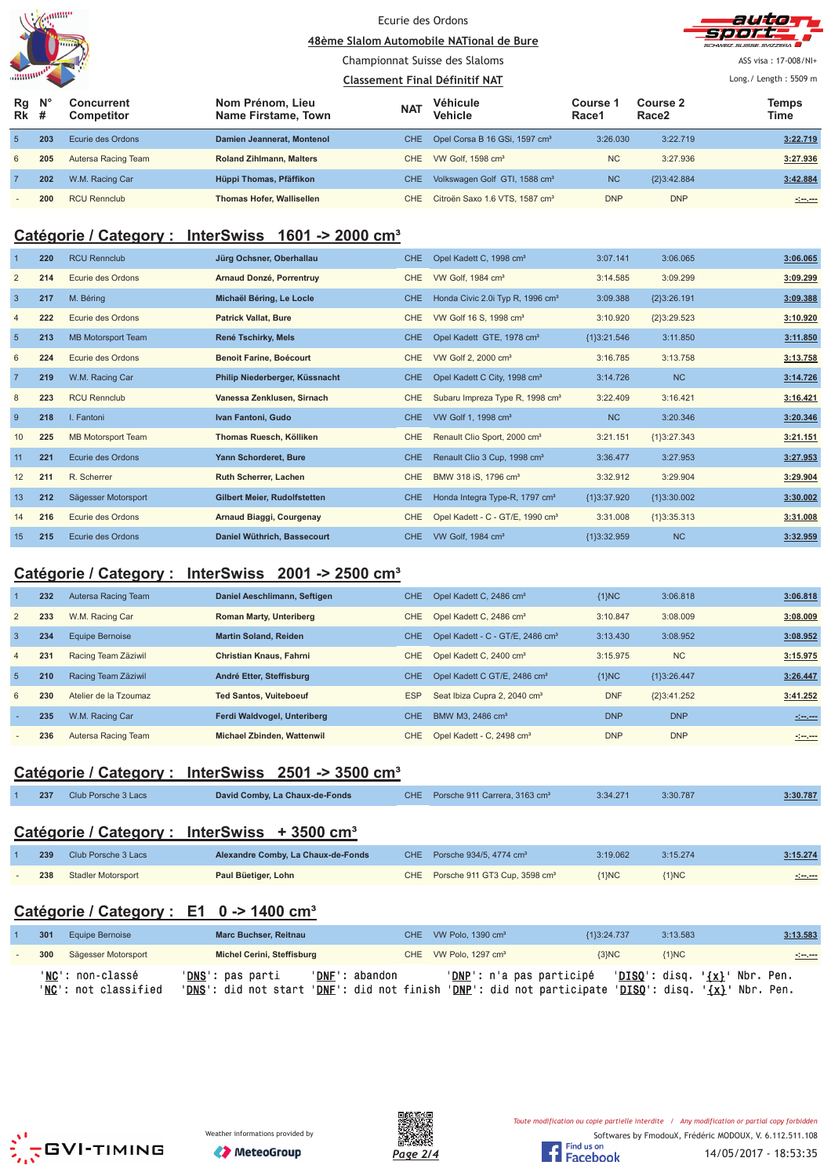|                | anum |
|----------------|------|
|                |      |
|                |      |
| annumore,<br>ï |      |





ASS visa: 17-008/NI+ Long./ Length: 5509 m

#### Championnat Suisse des Slaloms

| <b><i><u>ARRIVALLE</u></i></b>  |     |                          |                                         | Classement Final Définitif NAT |                                            |                          |                               | Long. / Length: $5509$ m |
|---------------------------------|-----|--------------------------|-----------------------------------------|--------------------------------|--------------------------------------------|--------------------------|-------------------------------|--------------------------|
| $Rg$ $N^{\circ}$<br><b>Rk</b> # |     | Concurrent<br>Competitor | Nom Prénom. Lieu<br>Name Firstame, Town | <b>NAT</b>                     | Véhicule<br><b>Vehicle</b>                 | <b>Course 1</b><br>Race1 | Course 2<br>Race <sub>2</sub> | <b>Temps</b><br>Time     |
| 5 <sub>1</sub>                  | 203 | Ecurie des Ordons        | Damien Jeannerat, Montenol              | <b>CHE</b>                     | Opel Corsa B 16 GSi, 1597 cm <sup>3</sup>  | 3:26.030                 | 3:22.719                      | 3:22.719                 |
| 6                               | 205 | Autersa Racing Team      | <b>Roland Zihlmann, Malters</b>         | CHE                            | VW Golf, 1598 cm <sup>3</sup>              | <b>NC</b>                | 3:27.936                      | 3:27.936                 |
|                                 | 202 | W.M. Racing Car          | Hüppi Thomas, Pfäffikon                 | <b>CHE</b>                     | Volkswagen Golf GTI, 1588 cm <sup>3</sup>  | <b>NC</b>                | ${2}3:42.884$                 | 3:42.884                 |
| $\sim$                          | 200 | <b>RCU Rennclub</b>      | <b>Thomas Hofer, Wallisellen</b>        | CHE                            | Citroën Saxo 1.6 VTS, 1587 cm <sup>3</sup> | <b>DNP</b>               | <b>DNP</b>                    |                          |

#### **Catégorie / Category : InterSwiss 1601 -> 2000 cm³**

|                | 220 | <b>RCU Rennclub</b>       | Jürg Ochsner, Oberhallau       | CHE.       | Opel Kadett C, 1998 cm <sup>3</sup>          | 3:07.141      | 3:06.065      | 3:06.065 |
|----------------|-----|---------------------------|--------------------------------|------------|----------------------------------------------|---------------|---------------|----------|
| $\overline{2}$ | 214 | Ecurie des Ordons         | Arnaud Donzé, Porrentruy       | <b>CHE</b> | VW Golf, 1984 cm <sup>3</sup>                | 3:14.585      | 3:09.299      | 3:09.299 |
| $\mathbf{3}$   | 217 | M. Béring                 | Michaël Béring, Le Locle       | CHE.       | Honda Civic 2.0i Typ R, 1996 cm <sup>3</sup> | 3:09.388      | ${2}3:26.191$ | 3:09.388 |
| $\overline{4}$ | 222 | Ecurie des Ordons         | <b>Patrick Vallat, Bure</b>    | CHE        | VW Golf 16 S, 1998 cm <sup>3</sup>           | 3:10.920      | ${2}3:29.523$ | 3:10.920 |
| $5\phantom{1}$ | 213 | <b>MB Motorsport Team</b> | René Tschirky, Mels            | CHE.       | Opel Kadett GTE, 1978 cm <sup>3</sup>        | ${1}3:21.546$ | 3:11.850      | 3:11.850 |
| 6              | 224 | Ecurie des Ordons         | <b>Benoit Farine, Boécourt</b> | CHE        | VW Golf 2, 2000 cm <sup>3</sup>              | 3:16.785      | 3:13.758      | 3:13.758 |
| $\overline{7}$ | 219 | W.M. Racing Car           | Philip Niederberger, Küssnacht | CHE.       | Opel Kadett C City, 1998 cm <sup>3</sup>     | 3:14.726      | <b>NC</b>     | 3:14.726 |
| 8              | 223 | <b>RCU Rennclub</b>       | Vanessa Zenklusen, Sirnach     | <b>CHE</b> | Subaru Impreza Type R, 1998 cm <sup>3</sup>  | 3:22.409      | 3:16.421      | 3:16.421 |
| 9              | 218 | I. Fantoni                | Ivan Fantoni, Gudo             | CHE.       | VW Golf 1, 1998 cm <sup>3</sup>              | <b>NC</b>     | 3:20.346      | 3:20.346 |
| 10             | 225 | <b>MB Motorsport Team</b> | Thomas Ruesch, Kölliken        | <b>CHE</b> | Renault Clio Sport, 2000 cm <sup>3</sup>     | 3:21.151      | ${1}3:27.343$ | 3:21.151 |
| 11             | 221 | Ecurie des Ordons         | Yann Schorderet, Bure          | <b>CHE</b> | Renault Clio 3 Cup, 1998 cm <sup>3</sup>     | 3:36.477      | 3:27.953      | 3:27.953 |
| 12             | 211 | R. Scherrer               | <b>Ruth Scherrer, Lachen</b>   | CHE        | BMW 318 iS, 1796 cm <sup>3</sup>             | 3:32.912      | 3:29.904      | 3:29.904 |
| 13             | 212 | Sägesser Motorsport       | Gilbert Meier, Rudolfstetten   | <b>CHE</b> | Honda Integra Type-R, 1797 cm <sup>3</sup>   | {1}3:37.920   | {1}3:30.002   | 3:30.002 |
| 14             | 216 | Ecurie des Ordons         | Arnaud Biaggi, Courgenay       | <b>CHE</b> | Opel Kadett - C - GT/E, 1990 cm <sup>3</sup> | 3:31.008      | ${1}3:35.313$ | 3:31.008 |
| 15             | 215 | Ecurie des Ordons         | Daniel Wüthrich, Bassecourt    | <b>CHE</b> | VW Golf, 1984 cm <sup>3</sup>                | {1}3:32.959   | <b>NC</b>     | 3:32.959 |

## **Catégorie / Category : InterSwiss 2001 -> 2500 cm³**

|                | 232 | Autersa Racing Team   | Daniel Aeschlimann, Seftigen   | CHE.       | Opel Kadett C, 2486 cm <sup>3</sup>          | ${1}NC$    | 3:06.818      | 3:06.818                                                                                                                |
|----------------|-----|-----------------------|--------------------------------|------------|----------------------------------------------|------------|---------------|-------------------------------------------------------------------------------------------------------------------------|
| $\overline{2}$ | 233 | W.M. Racing Car       | <b>Roman Marty, Unteriberg</b> | CHE.       | Opel Kadett C, 2486 cm <sup>3</sup>          | 3:10.847   | 3:08.009      | 3:08.009                                                                                                                |
| 3              | 234 | Equipe Bernoise       | <b>Martin Soland, Reiden</b>   | CHE.       | Opel Kadett - C - GT/E, 2486 cm <sup>3</sup> | 3:13.430   | 3:08.952      | 3:08.952                                                                                                                |
| $\overline{4}$ | 231 | Racing Team Zäziwil   | <b>Christian Knaus, Fahrni</b> | CHE        | Opel Kadett C, 2400 cm <sup>3</sup>          | 3:15.975   | <b>NC</b>     | 3:15.975                                                                                                                |
| 5              | 210 | Racing Team Zäziwil   | André Etter, Steffisburg       | CHE.       | Opel Kadett C GT/E, 2486 cm <sup>3</sup>     | ${1}NC$    | ${1}3:26.447$ | 3:26.447                                                                                                                |
| 6              | 230 | Atelier de la Tzoumaz | <b>Ted Santos, Vuiteboeuf</b>  | <b>ESP</b> | Seat Ibiza Cupra 2, 2040 cm <sup>3</sup>     | <b>DNF</b> | ${2}3.41.252$ | 3:41.252                                                                                                                |
|                | 235 | W.M. Racing Car       | Ferdi Waldvogel, Unteriberg    | <b>CHE</b> | BMW M3, 2486 cm <sup>3</sup>                 | <b>DNP</b> | <b>DNP</b>    | $-2 - 2 - 2$                                                                                                            |
|                | 236 | Autersa Racing Team   | Michael Zbinden, Wattenwil     | CHE.       | Opel Kadett - C, 2498 cm <sup>3</sup>        | <b>DNP</b> | <b>DNP</b>    | $\label{eq:2} \frac{1}{2} \left( \frac{1}{2} \cos \left( \frac{1}{2} \right) + \cos \left( \frac{1}{2} \right) \right)$ |

## **Catégorie / Category : InterSwiss 2501 -> 3500 cm³**

| 237 | Club Porsche 3 Lacs | David Comby, La Chaux-de-Fonds | CHE Porsche 911 Carrera, 3163 cm <sup>3</sup> | 3:34.271 | 3:30.787 | 3:30.787 |
|-----|---------------------|--------------------------------|-----------------------------------------------|----------|----------|----------|
|     |                     |                                |                                               |          |          |          |

## **Catégorie / Category : InterSwiss + 3500 cm³**

| 239 | Club Porsche 3 Lacs | Alexandre Comby, La Chaux-de-Fonds | CHE Porsche $934/5$ . 4774 cm <sup>3</sup>    | 3:19.062  | 3:15.274 | 3:15.274 |
|-----|---------------------|------------------------------------|-----------------------------------------------|-----------|----------|----------|
| 238 | Stadler Motorsport  | Paul Büetiger, Lohn                | CHE Porsche 911 GT3 Cup, 3598 cm <sup>3</sup> | $\{1\}NC$ | ${1}NC$  | -1-1-    |

## **Catégorie / Category : E1 0 -> 1400 cm³**

| 301 | Equipe Bernoise                          | <b>Marc Buchser, Reitnau</b>                                            |                | CHE VW Polo. 1390 cm <sup>3</sup> | {1}3:24.737 | 3:13.583 | 3:13.583                                                                                              |
|-----|------------------------------------------|-------------------------------------------------------------------------|----------------|-----------------------------------|-------------|----------|-------------------------------------------------------------------------------------------------------|
| 300 | Sägesser Motorsport                      | Michel Cerini, Steffisburg                                              |                | CHE VW Polo, 1297 cm <sup>3</sup> | ${3}NC$     | ${1}NC$  | <u>Seven</u>                                                                                          |
|     | 'NC': non-classé<br>'NC': not classified | ' <b>DNS</b> ': pas parti<br>'DNS': did not start 'DNF': did not finish | 'DNF': abandon | <b>'DNP':</b> n'a pas participé   |             |          | $'DISO':$ disq. $\{x\}'$ Nbr. Pen.<br>$'DNP':$ did not participate $'DISO':$ disq. $\{x\}'$ Nbr. Pen. |





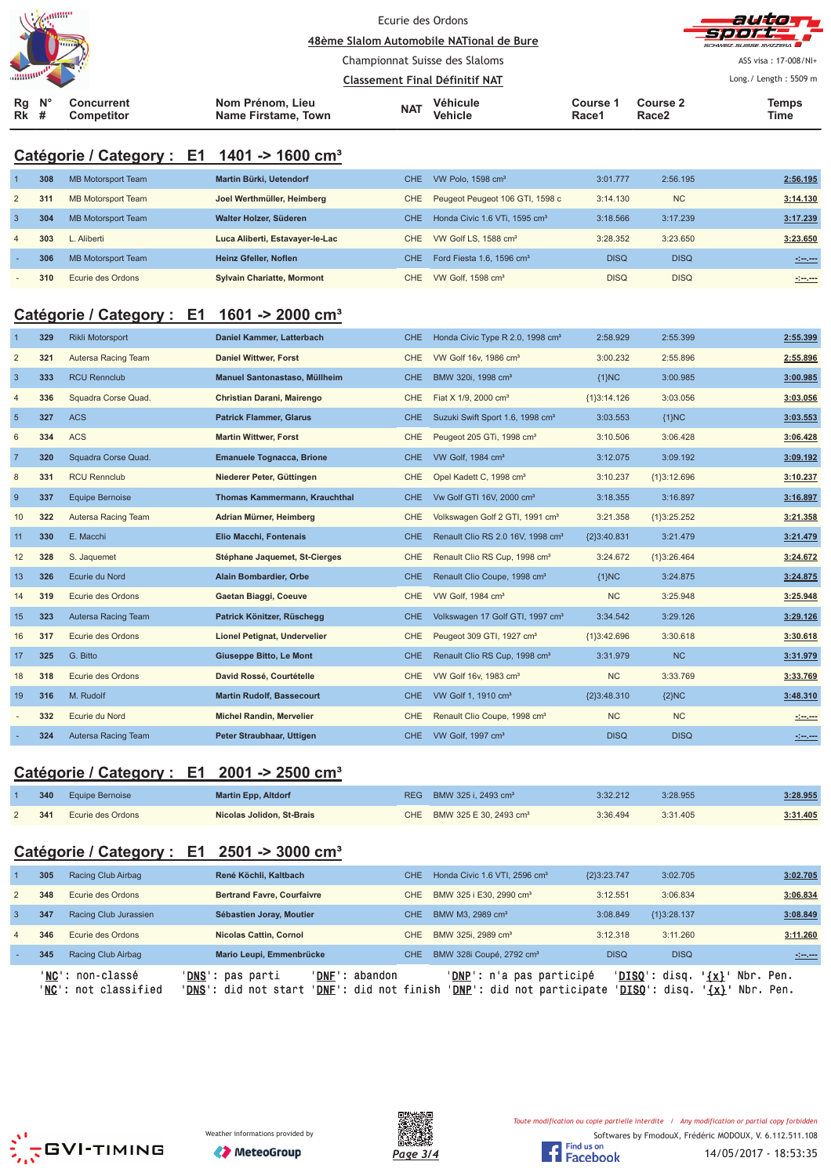| Zammu<br><b>TITTIN</b><br><b><i><u>AHHHP</u></i></b>                   |                                         | Ecurie des Ordons<br>48ème Slalom Automobile NATional de Bure<br>Championnat Suisse des Slaloms<br><b>Classement Final Définitif NAT</b> |                               |                   |                   | auto<br>- 7 e j e j e<br>SCHWEIZ SUISSE SVIZZEDA<br>ASS visa: 17-008/NI+<br>Long./ Length: 5509 m |  |
|------------------------------------------------------------------------|-----------------------------------------|------------------------------------------------------------------------------------------------------------------------------------------|-------------------------------|-------------------|-------------------|---------------------------------------------------------------------------------------------------|--|
| $N^{\circ}$<br>Rg<br><b>Concurrent</b><br>#<br><b>Rk</b><br>Competitor | Nom Prénom, Lieu<br>Name Firstame, Town | <b>NAT</b>                                                                                                                               | Véhicule<br><b>Vehicle</b>    | Course 1<br>Race1 | Course 2<br>Race2 | <b>Temps</b><br>Time                                                                              |  |
| Catégorie / Category : E1 1401 -> 1600 cm <sup>3</sup>                 |                                         |                                                                                                                                          |                               |                   |                   |                                                                                                   |  |
| 308<br><b>MB Motorsport Team</b>                                       | Martin Bürki, Uetendorf                 | <b>CHE</b>                                                                                                                               | VW Polo, 1598 cm <sup>3</sup> | 3:01.777          | 2:56.195          | 2:56.195                                                                                          |  |

|                | <u>vuu</u> | <b>IVID IVIOLOISPOIL IGAIII</b> | <b>Martin Barni, Octongon</b>     |      | UIL VII UIU. IJJU UII                     | <b>0.0</b> 1.1 1 1 | 2.JU. I JU  | <u><b>A.VU. 199</b></u> |
|----------------|------------|---------------------------------|-----------------------------------|------|-------------------------------------------|--------------------|-------------|-------------------------|
| 2              | 311        | MB Motorsport Team              | Joel Werthmüller, Heimberg        |      | CHE Peugeot Peugeot 106 GTI, 1598 c       | 3:14.130           | <b>NC</b>   | 3:14.130                |
| 3              | 304        | MB Motorsport Team              | Walter Holzer, Süderen            | CHE. | Honda Civic 1.6 VTi, 1595 cm <sup>3</sup> | 3:18.566           | 3:17.239    | 3:17.239                |
| $\overline{4}$ | 303        | L. Aliberti                     | Luca Aliberti, Estavayer-le-Lac   |      | CHE VW Golf LS. 1588 cm <sup>3</sup>      | 3:28.352           | 3:23.650    | 3:23.650                |
|                | 306        | <b>MB Motorsport Team</b>       | Heinz Gfeller, Noflen             | CHE. | Ford Fiesta $1.6.1596 \text{ cm}^3$       | <b>DISQ</b>        | <b>DISQ</b> | <u> 1999 - 19</u>       |
| $\sim$         | 310        | Ecurie des Ordons               | <b>Sylvain Chariatte, Mormont</b> |      | CHE VW Golf, 1598 cm <sup>3</sup>         | <b>DISQ</b>        | <b>DISQ</b> |                         |

## **Catégorie / Category : E1 1601 -> 2000 cm³**

| $\overline{1}$ | 329 | <b>Rikli Motorsport</b> | Daniel Kammer, Latterbach            | CHE.       | Honda Civic Type R 2.0, 1998 cm <sup>3</sup>  | 2:58.929      | 2:55.399      | 2:55.399 |
|----------------|-----|-------------------------|--------------------------------------|------------|-----------------------------------------------|---------------|---------------|----------|
| $\overline{2}$ | 321 | Autersa Racing Team     | <b>Daniel Wittwer, Forst</b>         | <b>CHE</b> | VW Golf 16v, 1986 cm <sup>3</sup>             | 3:00.232      | 2:55.896      | 2:55.896 |
| $\mathbf{3}$   | 333 | <b>RCU Rennclub</b>     | Manuel Santonastaso, Müllheim        | <b>CHE</b> | BMW 320i, 1998 cm <sup>3</sup>                | ${1}NC$       | 3:00.985      | 3:00.985 |
| $\overline{4}$ | 336 | Squadra Corse Quad.     | Christian Darani, Mairengo           | <b>CHE</b> | Fiat X 1/9, 2000 cm <sup>3</sup>              | ${1}3:14.126$ | 3:03.056      | 3:03.056 |
| $5\phantom{1}$ | 327 | <b>ACS</b>              | <b>Patrick Flammer, Glarus</b>       | CHE.       | Suzuki Swift Sport 1.6, 1998 cm <sup>3</sup>  | 3:03.553      | ${1}NC$       | 3:03.553 |
| 6              | 334 | <b>ACS</b>              | <b>Martin Wittwer, Forst</b>         | CHE        | Peugeot 205 GTi, 1998 cm <sup>3</sup>         | 3:10.506      | 3:06.428      | 3:06.428 |
| $\overline{7}$ | 320 | Squadra Corse Quad.     | <b>Emanuele Tognacca, Brione</b>     | <b>CHE</b> | VW Golf, 1984 cm <sup>3</sup>                 | 3:12.075      | 3:09.192      | 3:09.192 |
| 8              | 331 | <b>RCU Rennclub</b>     | Niederer Peter, Güttingen            | <b>CHE</b> | Opel Kadett C, 1998 cm <sup>3</sup>           | 3:10.237      | ${1}3:12.696$ | 3:10.237 |
| 9              | 337 | <b>Equipe Bernoise</b>  | <b>Thomas Kammermann, Krauchthal</b> | CHE.       | Vw Golf GTI 16V, 2000 cm <sup>3</sup>         | 3:18.355      | 3:16.897      | 3:16.897 |
| 10             | 322 | Autersa Racing Team     | Adrian Mürner, Heimberg              | <b>CHE</b> | Volkswagen Golf 2 GTI, 1991 cm <sup>3</sup>   | 3:21.358      | ${1}3:25.252$ | 3:21.358 |
| 11             | 330 | E. Macchi               | Elio Macchi, Fontenais               | <b>CHE</b> | Renault Clio RS 2.0 16V, 1998 cm <sup>3</sup> | ${2}3:40.831$ | 3:21.479      | 3:21.479 |
| 12             | 328 | S. Jaquemet             | Stéphane Jaquemet, St-Cierges        | <b>CHE</b> | Renault Clio RS Cup, 1998 cm <sup>3</sup>     | 3:24.672      | ${1}3:26.464$ | 3:24.672 |
| 13             | 326 | Ecurie du Nord          | Alain Bombardier, Orbe               | CHE.       | Renault Clio Coupe, 1998 cm <sup>3</sup>      | ${1}NC$       | 3:24.875      | 3:24.875 |
| 14             | 319 | Ecurie des Ordons       | Gaetan Biaggi, Coeuve                | <b>CHE</b> | VW Golf, 1984 cm <sup>3</sup>                 | NC            | 3:25.948      | 3:25.948 |
| 15             | 323 | Autersa Racing Team     | Patrick Könitzer, Rüschegg           | <b>CHE</b> | Volkswagen 17 Golf GTI, 1997 cm <sup>3</sup>  | 3:34.542      | 3:29.126      | 3:29.126 |
| 16             | 317 | Ecurie des Ordons       | Lionel Petignat, Undervelier         | CHE        | Peugeot 309 GTI, 1927 cm <sup>3</sup>         | {1}3:42.696   | 3:30.618      | 3:30.618 |
| 17             | 325 | G. Bitto                | <b>Giuseppe Bitto, Le Mont</b>       | <b>CHE</b> | Renault Clio RS Cup, 1998 cm <sup>3</sup>     | 3:31.979      | <b>NC</b>     | 3:31.979 |
| 18             | 318 | Ecurie des Ordons       | David Rossé, Courtételle             | <b>CHE</b> | VW Golf 16v, 1983 cm <sup>3</sup>             | NC            | 3:33.769      | 3:33.769 |
| 19             | 316 | M. Rudolf               | <b>Martin Rudolf, Bassecourt</b>     | CHE.       | VW Golf 1, 1910 cm <sup>3</sup>               | {2}3:48.310   | ${2}NC$       | 3:48.310 |
|                | 332 | Ecurie du Nord          | <b>Michel Randin, Mervelier</b>      | <b>CHE</b> | Renault Clio Coupe, 1998 cm <sup>3</sup>      | <b>NC</b>     | NC            |          |
|                | 324 | Autersa Racing Team     | Peter Straubhaar, Uttigen            | <b>CHE</b> | VW Golf, 1997 cm <sup>3</sup>                 | <b>DISQ</b>   | <b>DISQ</b>   |          |

## **Catégorie / Category : E1 2001 -> 2500 cm³**

| 340 | <b>Equipe Bernoise</b> | <b>Martin Epp, Altdorf</b> | REG BMW 325 i. 2493 cm <sup>3</sup>    | 3:32.212 | 3:28.955 | 3:28.955 |
|-----|------------------------|----------------------------|----------------------------------------|----------|----------|----------|
| 341 | Ecurie des Ordons      | Nicolas Jolidon, St-Brais  | CHE BMW 325 E 30, 2493 cm <sup>3</sup> | 3:36.494 | 3:31.405 | 3:31.405 |

## **Catégorie / Category : E1 2501 -> 3000 cm³**

|                | 305 | Racing Club Airbag                       | René Köchli, Kaltbach                                                                                                  | CHE | Honda Civic 1.6 VTI, 2596 cm <sup>3</sup>                                | ${2}3:23.747$ | 3:02.705                                         | 3:02.705                                     |
|----------------|-----|------------------------------------------|------------------------------------------------------------------------------------------------------------------------|-----|--------------------------------------------------------------------------|---------------|--------------------------------------------------|----------------------------------------------|
| 2              | 348 | Ecurie des Ordons                        | <b>Bertrand Favre, Courfaivre</b>                                                                                      | CHE | BMW 325 i E30, 2990 cm <sup>3</sup>                                      | 3:12.551      | 3:06.834                                         | 3:06.834                                     |
| 3              | 347 | Racing Club Jurassien                    | Sébastien Joray, Moutier                                                                                               | CHE | BMW M3, 2989 cm <sup>3</sup>                                             | 3:08.849      | ${13:28.137}$                                    | 3:08.849                                     |
| $\overline{4}$ | 346 | Ecurie des Ordons                        | <b>Nicolas Cattin, Cornol</b>                                                                                          | CHE | BMW 325i, 2989 cm <sup>3</sup>                                           | 3:12.318      | 3:11.260                                         | 3:11.260                                     |
|                | 345 | Racing Club Airbag                       | Mario Leupi, Emmenbrücke                                                                                               | CHE | BMW 328i Coupé, 2792 cm <sup>3</sup>                                     | <b>DISQ</b>   | <b>DISQ</b>                                      |                                              |
|                |     | 'NC': non-classé<br>'NC': not classified | ' <b>DNS</b> ': pas parti<br>' <b>DNF</b> ': abandon<br>' <b>DNS':</b> did not start<br>' <b>DNF</b> ': did not finish |     | ' <b>DNP</b> ': n'a pas participé<br>' <b>DNP</b> ': did not participate |               | ' <b>DISO</b> ': disq.<br>' <b>DISQ</b> ': disq. | $\{x\}$<br>Nbr. Pen.<br>Nbr. Pen.<br>$\{x\}$ |





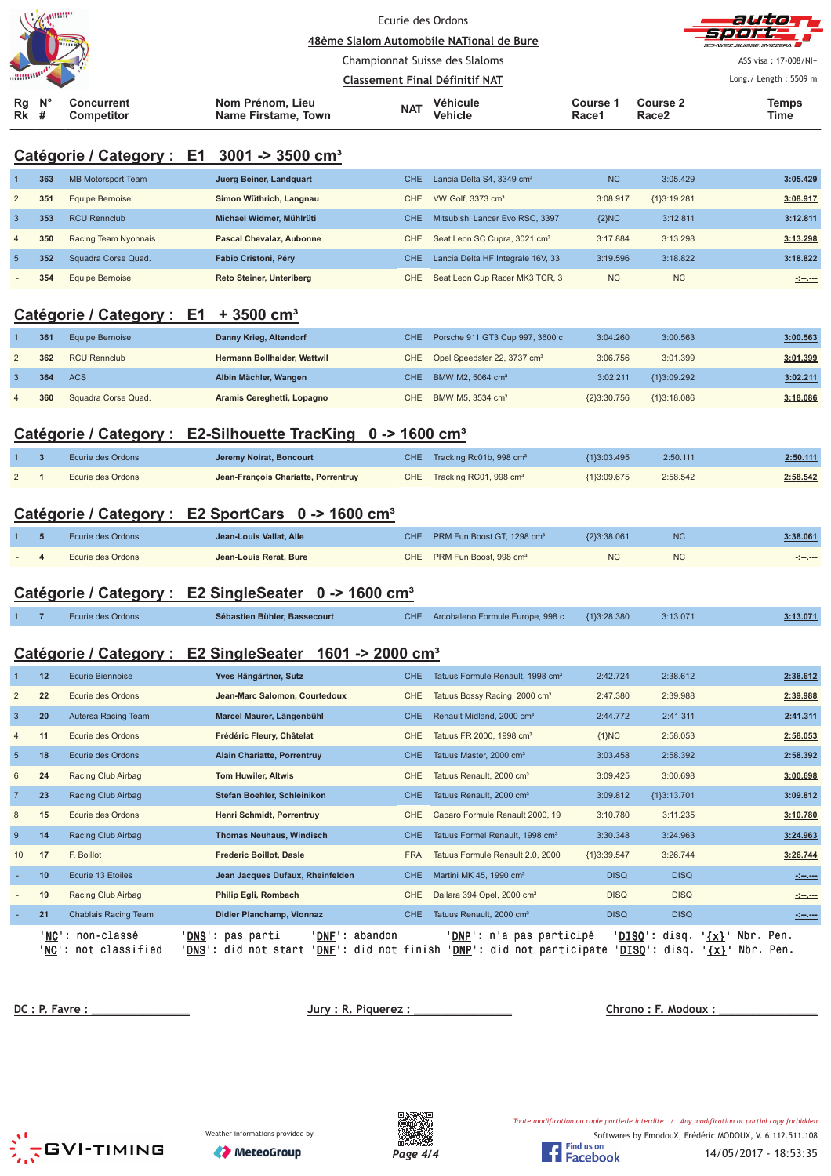| $\mathscr{A}$ and $\mathscr{C}$                                               |                                         | Ecurie des Ordons<br>48ème Slalom Automobile NATional de Bure           |                   |                               | autor<br>-Sport<br>SCHWEIZ SUISSE SVIZZEDA |
|-------------------------------------------------------------------------------|-----------------------------------------|-------------------------------------------------------------------------|-------------------|-------------------------------|--------------------------------------------|
|                                                                               |                                         | Championnat Suisse des Slaloms<br><b>Classement Final Définitif NAT</b> |                   |                               | ASS visa: 17-008/NI+                       |
|                                                                               |                                         |                                                                         |                   |                               | Long./ Length: 5509 m                      |
| $\mathsf{N}^\circ$<br><b>Concurrent</b><br>Rq<br>Rk<br><b>Competitor</b><br>× | Nom Prénom, Lieu<br>Name Firstame, Town | Véhicule<br><b>NAT</b><br>Vehicle                                       | Course 1<br>Race1 | Course 2<br>Race <sub>2</sub> | Temps<br>Time                              |

## **Catégorie / Category : E1 3001 -> 3500 cm³**

|                          | 363 | MB Motorsport Team   | Juerg Beiner, Landquart         | CHE. | Lancia Delta S4, 3349 cm <sup>3</sup>    | <b>NC</b> | 3:05.429      | 3:05.429 |
|--------------------------|-----|----------------------|---------------------------------|------|------------------------------------------|-----------|---------------|----------|
| $\overline{2}$           | 35' | Equipe Bernoise      | Simon Wüthrich, Langnau         | CHE. | VW Golf, 3373 cm <sup>3</sup>            | 3:08.917  | ${13:19.281}$ | 3:08.917 |
|                          | 353 | <b>RCU Rennclub</b>  | Michael Widmer, Mühlrüti        | CHE. | Mitsubishi Lancer Evo RSC, 3397          | ${2}NC$   | 3:12.811      | 3:12.811 |
| $\overline{4}$           | 350 | Racing Team Nyonnais | <b>Pascal Chevalaz, Aubonne</b> | CHE. | Seat Leon SC Cupra, 3021 cm <sup>3</sup> | 3:17.884  | 3:13.298      | 3:13.298 |
| $\overline{5}$           | 352 | Squadra Corse Quad.  | Fabio Cristoni, Péry            | CHE. | Lancia Delta HF Integrale 16V, 33        | 3:19.596  | 3:18.822      | 3:18.822 |
| $\overline{\phantom{a}}$ | 354 | Equipe Bernoise      | <b>Reto Steiner, Unteriberg</b> | CHE. | Seat Leon Cup Racer MK3 TCR, 3           | <b>NC</b> | <b>NC</b>     |          |

## **Catégorie / Category : E1 + 3500 cm³**

| 361 | Equipe Bernoise     | Danny Krieg, Altendorf      | CHE Porsche 911 GT3 Cup 997, 3600 c         | 3:04.260      | 3:00.563      | 3:00.563 |
|-----|---------------------|-----------------------------|---------------------------------------------|---------------|---------------|----------|
| 362 | <b>RCU Rennclub</b> | Hermann Bollhalder, Wattwil | CHE Opel Speedster 22, 3737 cm <sup>3</sup> | 3:06.756      | 3:01.399      | 3:01.399 |
| 364 | <b>ACS</b>          | Albin Mächler, Wangen       | CHE BMW M2, 5064 cm <sup>3</sup>            | 3:02.211      | {1}3:09.292   | 3:02.211 |
| 360 | Squadra Corse Quad. | Aramis Cereghetti, Lopagno  | CHE BMW M5, 3534 cm <sup>3</sup>            | ${2}3:30.756$ | ${13:18.086}$ | 3:18.086 |

#### Catégorie / Category : E2-Silhouette TracKing 0 -> 1600 cm<sup>3</sup>

|                | Ecurie des Ordons | Jeremy Noirat, Boncourt             | CHE Tracking Rc01b, 998 cm <sup>3</sup> | (1}3:03.495 | 2:50.111 | 2:50.111 |
|----------------|-------------------|-------------------------------------|-----------------------------------------|-------------|----------|----------|
| $\overline{2}$ | Ecurie des Ordons | Jean-François Chariatte, Porrentruy | CHE Tracking RC01, 998 cm <sup>3</sup>  | {1}3:09.675 | 2:58.542 | 2:58.542 |

## **Catégorie / Category : E2 SportCars 0 -> 1600 cm³**

|  | Ecurie des Ordons | Jean-Louis Vallat, Alle | CHE PRM Fun Boost GT. 1298 cm <sup>3</sup> | {2}3:38.061 | <b>NC</b> | 3:38.061        |
|--|-------------------|-------------------------|--------------------------------------------|-------------|-----------|-----------------|
|  | Ecurie des Ordons | Jean-Louis Rerat, Bure  | CHE PRM Fun Boost, 998 cm <sup>3</sup>     |             |           | مسموسون<br>$ -$ |

#### **Catégorie / Category : E2 SingleSeater 0 -> 1600 cm³**

|  |  | Ecurie des Ordons | Sébastien Bühler, Bassecourt |  | CHE Arcobaleno Formule Europe, 998 c | ${13:28.380}$ | 3:13.071 | 3:13.071 |
|--|--|-------------------|------------------------------|--|--------------------------------------|---------------|----------|----------|
|--|--|-------------------|------------------------------|--|--------------------------------------|---------------|----------|----------|

## **Catégorie / Category : E2 SingleSeater 1601 -> 2000 cm³**

|                 | 12 | <b>Ecurie Biennoise</b>                                    | Yves Hängärtner, Sutz                                                                                              | <b>CHE</b> | Tatuus Formule Renault, 1998 cm <sup>3</sup>                           | 2:42.724           | 2:38.612       |                    | 2:38.612                                                                                                                                                                                                                             |
|-----------------|----|------------------------------------------------------------|--------------------------------------------------------------------------------------------------------------------|------------|------------------------------------------------------------------------|--------------------|----------------|--------------------|--------------------------------------------------------------------------------------------------------------------------------------------------------------------------------------------------------------------------------------|
| $\overline{2}$  | 22 | Ecurie des Ordons                                          | Jean-Marc Salomon, Courtedoux                                                                                      | <b>CHE</b> | Tatuus Bossy Racing, 2000 cm <sup>3</sup>                              | 2:47.380           | 2:39.988       |                    | 2:39.988                                                                                                                                                                                                                             |
| 3               | 20 | Autersa Racing Team                                        | Marcel Maurer, Längenbühl                                                                                          | CHE.       | Renault Midland, 2000 cm <sup>3</sup>                                  | 2:44.772           | 2:41.311       |                    | 2:41.311                                                                                                                                                                                                                             |
| 4               | 11 | Ecurie des Ordons                                          | Frédéric Fleury, Châtelat                                                                                          | <b>CHE</b> | Tatuus FR 2000, 1998 cm <sup>3</sup>                                   | ${1}NC$            | 2:58.053       |                    | 2:58.053                                                                                                                                                                                                                             |
| $5\phantom{.0}$ | 18 | Ecurie des Ordons                                          | <b>Alain Chariatte, Porrentruy</b>                                                                                 | CHE.       | Tatuus Master, 2000 cm <sup>3</sup>                                    | 3:03.458           | 2:58.392       |                    | 2:58.392                                                                                                                                                                                                                             |
| 6               | 24 | Racing Club Airbag                                         | <b>Tom Huwiler, Altwis</b>                                                                                         | <b>CHE</b> | Tatuus Renault, 2000 cm <sup>3</sup>                                   | 3:09.425           | 3:00.698       |                    | 3:00.698                                                                                                                                                                                                                             |
|                 | 23 | Racing Club Airbag                                         | Stefan Boehler, Schleinikon                                                                                        | CHE.       | Tatuus Renault, 2000 cm <sup>3</sup>                                   | 3:09.812           | ${1}3:13.701$  |                    | 3:09.812                                                                                                                                                                                                                             |
| 8               | 15 | Ecurie des Ordons                                          | Henri Schmidt, Porrentruy                                                                                          | CHE.       | Caparo Formule Renault 2000, 19                                        | 3:10.780           | 3:11.235       |                    | 3:10.780                                                                                                                                                                                                                             |
| 9               | 14 | Racing Club Airbag                                         | <b>Thomas Neuhaus, Windisch</b>                                                                                    | CHE.       | Tatuus Formel Renault, 1998 cm <sup>3</sup>                            | 3:30.348           | 3:24.963       |                    | 3:24.963                                                                                                                                                                                                                             |
| 10              | 17 | F. Boillot                                                 | <b>Frederic Boillot, Dasle</b>                                                                                     | <b>FRA</b> | Tatuus Formule Renault 2.0, 2000                                       | {1}3:39.547        | 3:26.744       |                    | 3:26.744                                                                                                                                                                                                                             |
|                 | 10 | Ecurie 13 Etoiles                                          | Jean Jacques Dufaux, Rheinfelden                                                                                   | CHE.       | Martini MK 45, 1990 cm <sup>3</sup>                                    | <b>DISQ</b>        | <b>DISQ</b>    |                    | and any provinci                                                                                                                                                                                                                     |
|                 | 19 | Racing Club Airbag                                         | Philip Egli, Rombach                                                                                               | <b>CHE</b> | Dallara 394 Opel, 2000 cm <sup>3</sup>                                 | <b>DISQ</b>        | <b>DISQ</b>    |                    | <u> 1000 - 100</u>                                                                                                                                                                                                                   |
|                 | 21 | Chablais Racing Team                                       | Didier Planchamp, Vionnaz                                                                                          | <b>CHE</b> | Tatuus Renault, 2000 cm <sup>3</sup>                                   | <b>DISQ</b>        | <b>DISQ</b>    |                    | <u> 1999 - 1999 - 1999 - 1999 - 1999 - 1999 - 1999 - 1999 - 1999 - 1999 - 1999 - 1999 - 1999 - 1999 - 1999 - 1999 - 1999 - 1999 - 1999 - 1999 - 1999 - 1999 - 1999 - 1999 - 1999 - 1999 - 1999 - 1999 - 1999 - 1999 - 1999 - 199</u> |
|                 |    | ' <b>NC</b> ': non-classé<br>' <b>NC</b> ': not classified | ' <b>DNS':</b> pas parti<br>' <b>DNF</b> ': abandon<br>': did not start<br><b>DNF</b> ': did not finish<br>' DNS ' |            | ' <b>DNP</b> ': n'a pas participé<br><b>DNP</b> ': did not participate | 'DISO':<br>'DISO': | disq.<br>disq. | ' {x} '<br>$\{x\}$ | Nbr. Pen.<br>Nbr. Pen.                                                                                                                                                                                                               |

 **!"#\$% &** 

<u> no : F. Modoux : \_</u>





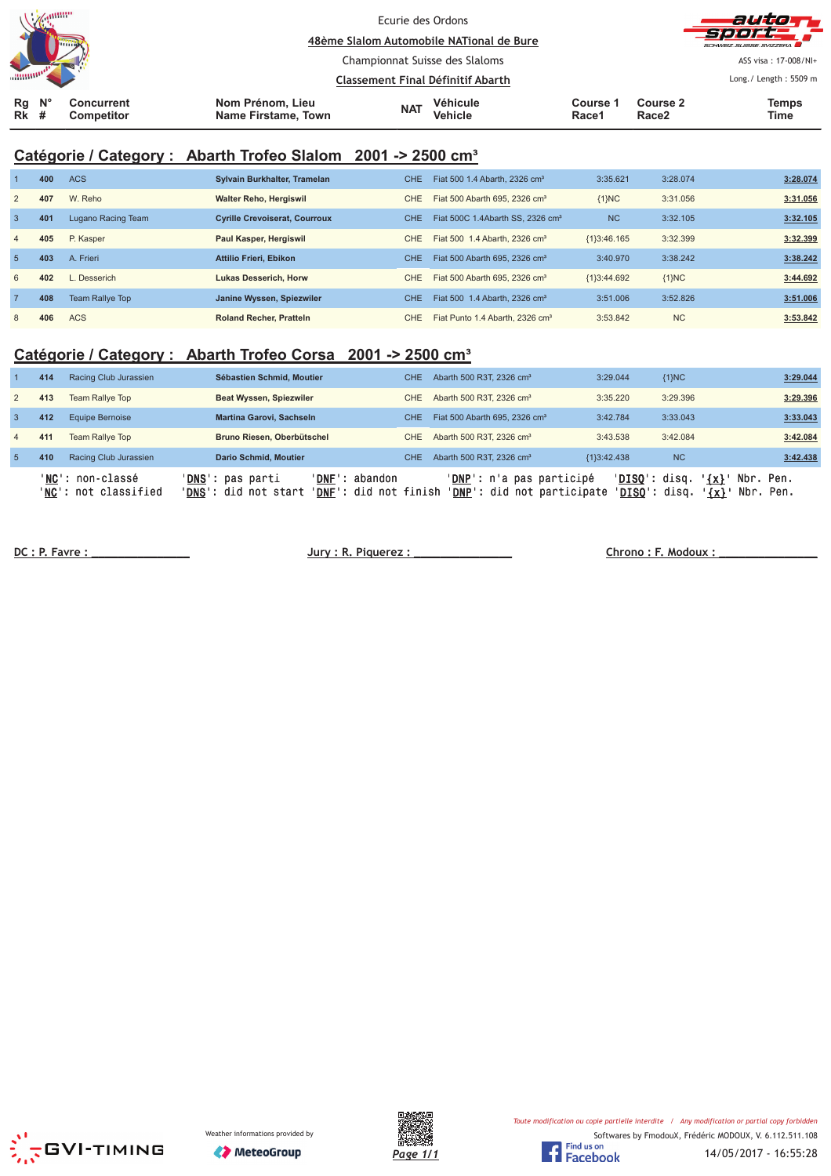|                   | <b>MANUFACTURER</b><br><b>Lumme</b> |                          |                                         | Ecurie des Ordons                                                   | 48ème Slalom Automobile NATional de Bure |                   |                               | auto T<br>see pa<br>SCHWEIZ SUISSE SVIZZEDA |
|-------------------|-------------------------------------|--------------------------|-----------------------------------------|---------------------------------------------------------------------|------------------------------------------|-------------------|-------------------------------|---------------------------------------------|
|                   |                                     |                          |                                         | Championnat Suisse des Slaloms<br>Classement Final Définitif Abarth |                                          |                   | ASS visa: 17-008/NI+          |                                             |
|                   |                                     |                          |                                         |                                                                     |                                          |                   | Long./ Length: 5509 m         |                                             |
| Rg<br><b>Rk</b> # | $\mathsf{N}^\circ$                  | Concurrent<br>Competitor | Nom Prénom, Lieu<br>Name Firstame, Town | <b>NAT</b>                                                          | Véhicule<br><b>Vehicle</b>               | Course 1<br>Race1 | Course 2<br>Race <sub>2</sub> | <b>Temps</b><br><b>Time</b>                 |

## **Catégorie / Category : Abarth Trofeo Slalom 2001 -> 2500 cm³**

|                | 400 | <b>ACS</b>             | Sylvain Burkhalter, Tramelan         | CHE.       | Fiat 500 1.4 Abarth, 2326 cm <sup>3</sup>    | 3:35.621       | 3:28.074  | 3:28.074 |
|----------------|-----|------------------------|--------------------------------------|------------|----------------------------------------------|----------------|-----------|----------|
| $\overline{2}$ | 407 | W. Reho                | <b>Walter Reho, Hergiswil</b>        | CHE.       | Fiat 500 Abarth 695, 2326 cm <sup>3</sup>    | ${1}NC$        | 3:31.056  | 3:31.056 |
| $\overline{3}$ | 401 | Lugano Racing Team     | <b>Cyrille Crevoiserat, Courroux</b> | <b>CHE</b> | Fiat 500C 1.4Abarth SS, 2326 cm <sup>3</sup> | N <sub>C</sub> | 3:32.105  | 3:32.105 |
| $\overline{4}$ | 405 | P. Kasper              | Paul Kasper, Hergiswil               | CHE.       | Fiat 500 1.4 Abarth, 2326 cm <sup>3</sup>    | ${1}3:46.165$  | 3:32.399  | 3:32.399 |
| -5             | 403 | A. Frieri              | <b>Attilio Frieri, Ebikon</b>        | CHE.       | Fiat 500 Abarth 695, 2326 cm <sup>3</sup>    | 3:40.970       | 3:38.242  | 3:38.242 |
| 6              | 402 | Desserich              | <b>Lukas Desserich, Horw</b>         | CHE.       | Fiat 500 Abarth 695, 2326 cm <sup>3</sup>    | ${1}3:44.692$  | ${1}NC$   | 3:44.692 |
| $\overline{7}$ | 408 | <b>Team Rallye Top</b> | Janine Wyssen, Spiezwiler            | <b>CHE</b> | Fiat 500 1.4 Abarth, 2326 cm <sup>3</sup>    | 3:51.006       | 3:52.826  | 3:51.006 |
| 8              | 406 | <b>ACS</b>             | <b>Roland Recher, Pratteln</b>       | CHE.       | Fiat Punto 1.4 Abarth, 2326 cm <sup>3</sup>  | 3:53.842       | <b>NC</b> | 3:53.842 |

## **Catégorie / Category : Abarth Trofeo Corsa 2001 -> 2500 cm³**

|                 | 414 | Racing Club Jurassien                            | Sébastien Schmid, Moutier                                 | CHE.                                             | Abarth 500 R3T, 2326 cm <sup>3</sup>                            | 3:29.044      | ${1}NC$                                         | 3:29.044                                     |
|-----------------|-----|--------------------------------------------------|-----------------------------------------------------------|--------------------------------------------------|-----------------------------------------------------------------|---------------|-------------------------------------------------|----------------------------------------------|
| 2               | 413 | Team Rallye Top                                  | Beat Wyssen, Spiezwiler                                   | CHE                                              | Abarth 500 R3T, 2326 cm <sup>3</sup>                            | 3:35.220      | 3:29.396                                        | 3:29.396                                     |
|                 | 412 | Equipe Bernoise                                  | Martina Garovi, Sachseln                                  | CHE.                                             | Fiat 500 Abarth 695, 2326 cm <sup>3</sup>                       | 3:42.784      | 3:33.043                                        | 3:33.043                                     |
| $\overline{4}$  | 411 | Team Rallye Top                                  | Bruno Riesen, Oberbütschel                                | CHE                                              | Abarth 500 R3T, 2326 cm <sup>3</sup>                            | 3:43.538      | 3:42.084                                        | 3:42.084                                     |
| $5\overline{5}$ | 410 | Racing Club Jurassien                            | <b>Dario Schmid, Moutier</b>                              | CHE                                              | Abarth 500 R3T, 2326 cm <sup>3</sup>                            | ${1}3:42.438$ | N <sub>C</sub>                                  | 3:42.438                                     |
|                 |     | 'NC': non-classé<br>' <b>NC':</b> not classified | ' <b>DNS</b> ': pas parti<br>' <b>DNS':</b> did not start | 'DNF': abandon<br>' <b>DNF</b> ': did not finish | ' <b>DNP</b> ': n'a pas participé<br>'DNP': did not participate |               | ' <b>DISO</b> ': disq.<br>' <b>DISO':</b> disa. | Nbr. Pen.<br>$\{x\}$<br>Nbr. Pen.<br>$\{x\}$ |

 **!!!!!!!!!!!!!!! "#\$%&!!!!!!!!!!!!!!!** 

 **' (!!!!!!!!!!!!!!!**





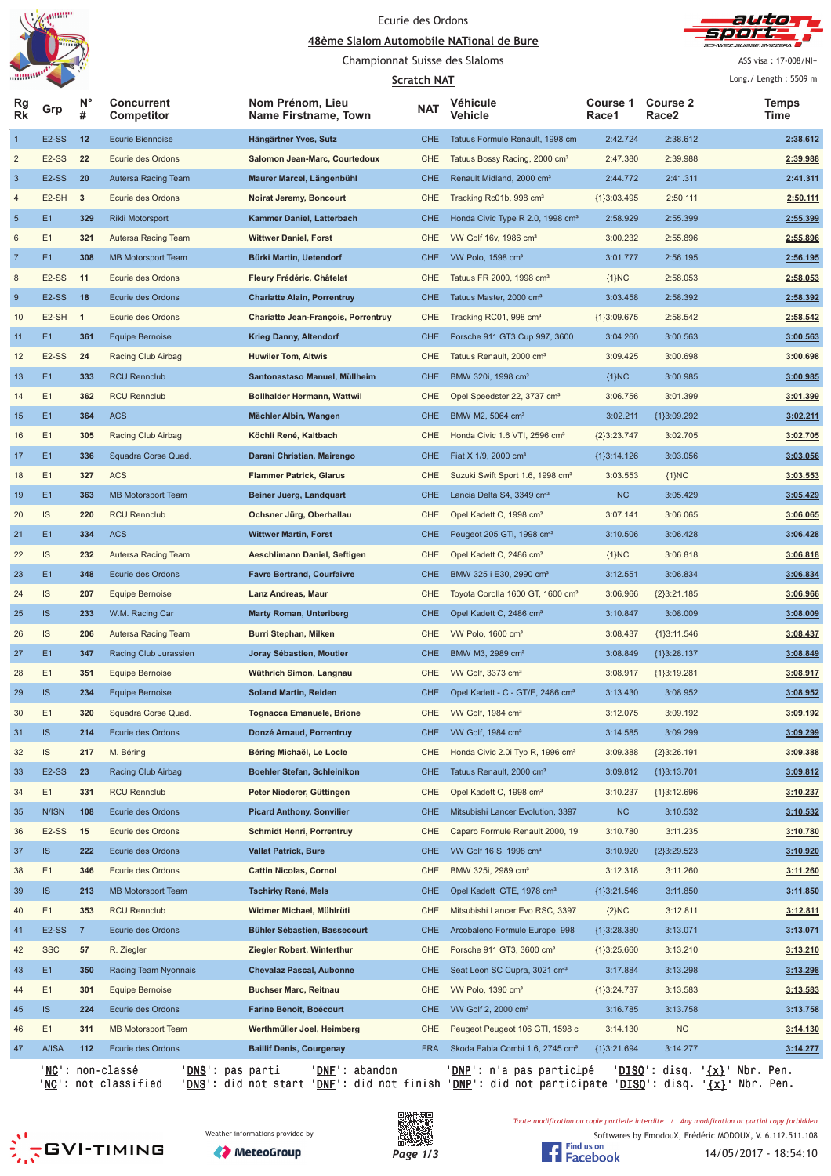





ASS visa: 17-008/NI+ Long./ Length: m

| "mmm"<br><b>Scratch NAT</b> |                    |                |                                                              |                                          |            | Long./ Length: 5509 m                        |                      |                               |                                                 |
|-----------------------------|--------------------|----------------|--------------------------------------------------------------|------------------------------------------|------------|----------------------------------------------|----------------------|-------------------------------|-------------------------------------------------|
| Rg<br>Rk                    | Grp                | <b>N°</b><br># | <b>Concurrent</b><br>Competitor                              | Nom Prénom, Lieu<br>Name Firstname, Town | <b>NAT</b> | Véhicule<br>Vehicle                          | Course 1<br>Race1    | Course 2<br>Race <sub>2</sub> | Temps<br>Time                                   |
| $\overline{1}$              | E <sub>2</sub> -SS | 12             | <b>Ecurie Biennoise</b>                                      | Hängärtner Yves, Sutz                    | <b>CHE</b> | Tatuus Formule Renault, 1998 cm              | 2:42.724             | 2:38.612                      | 2:38.612                                        |
| $\overline{\mathbf{c}}$     | E <sub>2</sub> -SS | 22             | Ecurie des Ordons                                            | Salomon Jean-Marc, Courtedoux            | CHE        | Tatuus Bossy Racing, 2000 cm <sup>3</sup>    | 2:47.380             | 2:39.988                      | 2:39.988                                        |
| $\mathbf{3}$                | E <sub>2</sub> -SS | 20             | Autersa Racing Team                                          | Maurer Marcel, Längenbühl                | <b>CHE</b> | Renault Midland, 2000 cm <sup>3</sup>        | 2:44.772             | 2:41.311                      | 2:41.311                                        |
| 4                           | E <sub>2</sub> -SH | 3              | Ecurie des Ordons                                            | <b>Noirat Jeremy, Boncourt</b>           | CHE        | Tracking Rc01b, 998 cm <sup>3</sup>          | {1}3:03.495          | 2:50.111                      | 2:50.111                                        |
| $\sqrt{5}$                  | E1                 | 329            | <b>Rikli Motorsport</b>                                      | Kammer Daniel, Latterbach                | <b>CHE</b> | Honda Civic Type R 2.0, 1998 cm <sup>3</sup> | 2:58.929             | 2:55.399                      | 2:55.399                                        |
| 6                           | E1                 | 321            | Autersa Racing Team                                          | <b>Wittwer Daniel, Forst</b>             | CHE        | VW Golf 16v, 1986 cm <sup>3</sup>            | 3:00.232             | 2:55.896                      | 2:55.896                                        |
| $\overline{7}$              | E1                 | 308            | MB Motorsport Team                                           | Bürki Martin, Uetendorf                  | <b>CHE</b> | VW Polo, 1598 cm <sup>3</sup>                | 3:01.777             | 2:56.195                      | 2:56.195                                        |
| 8                           | E <sub>2</sub> -SS | 11             | Ecurie des Ordons                                            | Fleury Frédéric, Châtelat                | CHE        | Tatuus FR 2000, 1998 cm <sup>3</sup>         | ${1}NC$              | 2:58.053                      | 2:58.053                                        |
| $\boldsymbol{9}$            | E <sub>2</sub> -SS | 18             | Ecurie des Ordons                                            | <b>Chariatte Alain, Porrentruy</b>       | <b>CHE</b> | Tatuus Master, 2000 cm <sup>3</sup>          | 3:03.458             | 2:58.392                      | 2:58.392                                        |
| 10                          | $E2-SH$ 1          |                | Ecurie des Ordons                                            | Chariatte Jean-François, Porrentruy      | CHE        | Tracking RC01, 998 cm <sup>3</sup>           | ${1}3:09.675$        | 2:58.542                      | 2:58.542                                        |
| 11                          | E <sub>1</sub>     | 361            | Equipe Bernoise                                              | <b>Krieg Danny, Altendorf</b>            | <b>CHE</b> | Porsche 911 GT3 Cup 997, 3600                | 3:04.260             | 3:00.563                      | 3:00.563                                        |
| 12                          | E <sub>2</sub> -SS | 24             | Racing Club Airbag                                           | <b>Huwiler Tom, Altwis</b>               | CHE        | Tatuus Renault, 2000 cm <sup>3</sup>         | 3:09.425             | 3:00.698                      | 3:00.698                                        |
| 13                          | E1                 | 333            | <b>RCU Rennclub</b>                                          | Santonastaso Manuel, Müllheim            | <b>CHE</b> | BMW 320i, 1998 cm <sup>3</sup>               | ${1}NC$              | 3:00.985                      | 3:00.985                                        |
| 14                          | E1                 | 362            | <b>RCU Rennclub</b>                                          | <b>Bollhalder Hermann, Wattwil</b>       | CHE        | Opel Speedster 22, 3737 cm <sup>3</sup>      | 3:06.756             | 3:01.399                      | 3:01.399                                        |
| 15                          | E <sub>1</sub>     | 364            | <b>ACS</b>                                                   | Mächler Albin, Wangen                    | <b>CHE</b> | BMW M2, 5064 cm <sup>3</sup>                 | 3:02.211             | ${1}3:09.292$                 | 3:02.211                                        |
| 16                          | E1                 | 305            | Racing Club Airbag                                           | Köchli René, Kaltbach                    | <b>CHE</b> | Honda Civic 1.6 VTI, 2596 cm <sup>3</sup>    | ${2}3:23.747$        | 3:02.705                      | 3:02.705                                        |
| 17                          | E <sub>1</sub>     | 336            | Squadra Corse Quad.                                          | Darani Christian, Mairengo               | <b>CHE</b> | Fiat X 1/9, 2000 cm <sup>3</sup>             | ${1}3:14.126$        | 3:03.056                      | 3:03.056                                        |
| 18                          | E1                 | 327            | <b>ACS</b>                                                   | <b>Flammer Patrick, Glarus</b>           | <b>CHE</b> | Suzuki Swift Sport 1.6, 1998 cm <sup>3</sup> | 3:03.553             | ${1}NC$                       | 3:03.553                                        |
| 19                          | E <sub>1</sub>     | 363            | <b>MB Motorsport Team</b>                                    | <b>Beiner Juerg, Landquart</b>           | <b>CHE</b> | Lancia Delta S4, 3349 cm <sup>3</sup>        | NC                   | 3:05.429                      | 3:05.429                                        |
| 20                          | IS                 | 220            | <b>RCU Rennclub</b>                                          | Ochsner Jürg, Oberhallau                 | CHE        | Opel Kadett C, 1998 cm <sup>3</sup>          | 3:07.141             | 3:06.065                      | 3:06.065                                        |
| 21                          | E1                 | 334            | <b>ACS</b>                                                   | <b>Wittwer Martin, Forst</b>             | <b>CHE</b> | Peugeot 205 GTi, 1998 cm <sup>3</sup>        | 3:10.506             | 3:06.428                      | 3:06.428                                        |
| 22                          | IS                 | 232            | Autersa Racing Team                                          | Aeschlimann Daniel, Seftigen             | CHE        | Opel Kadett C, 2486 cm <sup>3</sup>          | ${1}NC$              | 3:06.818                      | 3:06.818                                        |
| 23                          | E1                 | 348            | Ecurie des Ordons                                            | <b>Favre Bertrand, Courfaivre</b>        | <b>CHE</b> | BMW 325 i E30, 2990 cm <sup>3</sup>          | 3:12.551             | 3:06.834                      | 3:06.834                                        |
| 24                          | IS                 | 207            | Equipe Bernoise                                              | Lanz Andreas, Maur                       | CHE        | Toyota Corolla 1600 GT, 1600 cm <sup>3</sup> | 3:06.966             | ${2}3:21.185$                 | 3:06.966                                        |
| 25                          | <b>IS</b>          | 233            | W.M. Racing Car                                              | <b>Marty Roman, Unteriberg</b>           | <b>CHE</b> | Opel Kadett C, 2486 cm <sup>3</sup>          | 3:10.847             | 3:08.009                      | 3:08.009                                        |
| 26                          | <b>IS</b>          | 206            | Autersa Racing Team                                          | Burri Stephan, Milken                    | CHE        | VW Polo, 1600 cm <sup>3</sup>                | 3:08.437             | ${1}3:11.546$                 | 3:08.437                                        |
| 27                          | E1                 | 347            | Racing Club Jurassien                                        | Joray Sébastien, Moutier                 | <b>CHE</b> | BMW M3, 2989 cm <sup>3</sup>                 | 3:08.849             | ${1}3:28.137$                 | 3:08.849                                        |
| 28                          | E1                 | 351            | Equipe Bernoise                                              | Wüthrich Simon, Langnau                  | CHE        | VW Golf, 3373 cm <sup>3</sup>                | 3:08.917             | ${1}3:19.281$                 | 3:08.917                                        |
| 29                          | <b>IS</b>          | 234            | <b>Equipe Bernoise</b>                                       | <b>Soland Martin, Reiden</b>             | CHE        | Opel Kadett - C - GT/E, 2486 cm <sup>3</sup> | 3:13.430             | 3:08.952                      | 3:08.952                                        |
| 30                          | E1                 | 320            | Squadra Corse Quad.                                          | <b>Tognacca Emanuele, Brione</b>         | <b>CHE</b> | VW Golf, 1984 cm <sup>3</sup>                | 3:12.075             | 3:09.192                      | 3:09.192                                        |
| 31                          | IS                 | 214            | Ecurie des Ordons                                            | Donzé Arnaud, Porrentruy                 | <b>CHE</b> | VW Golf, 1984 cm <sup>3</sup>                | 3:14.585             | 3:09.299                      | 3:09.299                                        |
| 32                          | IS                 | 217            | M. Béring                                                    | Béring Michaël, Le Locle                 | CHE        | Honda Civic 2.0i Typ R, 1996 cm <sup>3</sup> | 3:09.388             | ${2}3:26.191$                 | 3:09.388                                        |
| 33                          | E <sub>2</sub> -SS | 23             | Racing Club Airbag                                           | Boehler Stefan, Schleinikon              | <b>CHE</b> | Tatuus Renault, 2000 cm <sup>3</sup>         | 3:09.812             | ${1}3:13.701$                 | 3:09.812                                        |
| 34                          | E1                 | 331            | <b>RCU Rennclub</b>                                          | Peter Niederer, Güttingen                | CHE        | Opel Kadett C, 1998 cm <sup>3</sup>          | 3:10.237             | ${1}3:12.696$                 | 3:10.237                                        |
| 35                          | N/ISN              | 108            | Ecurie des Ordons                                            | <b>Picard Anthony, Sonvilier</b>         | <b>CHE</b> | Mitsubishi Lancer Evolution, 3397            | <b>NC</b>            | 3:10.532                      | 3:10.532                                        |
|                             | E <sub>2</sub> -SS | 15             | Ecurie des Ordons                                            | <b>Schmidt Henri, Porrentruy</b>         | CHE        | Caparo Formule Renault 2000, 19              | 3:10.780             | 3:11.235                      | 3:10.780                                        |
| 36                          | IS                 | 222            | Ecurie des Ordons                                            | <b>Vallat Patrick, Bure</b>              | <b>CHE</b> | VW Golf 16 S, 1998 cm <sup>3</sup>           |                      |                               | 3:10.920                                        |
| 37                          | E1                 |                | Ecurie des Ordons                                            | <b>Cattin Nicolas, Cornol</b>            | CHE        | BMW 325i, 2989 cm <sup>3</sup>               | 3:10.920<br>3:12.318 | ${2}3:29.523$<br>3:11.260     | 3:11.260                                        |
| 38                          | IS                 | 346<br>213     |                                                              |                                          | <b>CHE</b> | Opel Kadett GTE, 1978 cm <sup>3</sup>        |                      |                               | 3:11.850                                        |
| 39                          |                    |                | MB Motorsport Team                                           | Tschirky René, Mels                      |            |                                              | ${1}3:21.546$        | 3:11.850                      |                                                 |
| 40                          | E1                 | 353            | <b>RCU Rennclub</b>                                          | Widmer Michael, Mühlrüti                 | CHE        | Mitsubishi Lancer Evo RSC, 3397              | ${2}NC$              | 3:12.811                      | 3:12.811                                        |
| 41                          | E2-SS              | $\overline{7}$ | Ecurie des Ordons                                            | Bühler Sébastien, Bassecourt             | CHE        | Arcobaleno Formule Europe, 998               | ${1}3:28.380$        | 3:13.071                      | 3:13.071                                        |
| 42                          | <b>SSC</b>         | 57             | R. Ziegler                                                   | Ziegler Robert, Winterthur               | CHE        | Porsche 911 GT3, 3600 cm <sup>3</sup>        | ${1}3:25.660$        | 3:13.210                      | 3:13.210                                        |
| 43                          | E <sub>1</sub>     | 350            | Racing Team Nyonnais                                         | <b>Chevalaz Pascal, Aubonne</b>          | <b>CHE</b> | Seat Leon SC Cupra, 3021 cm <sup>3</sup>     | 3:17.884             | 3:13.298                      | 3:13.298                                        |
| 44                          | E1                 | 301            | Equipe Bernoise                                              | <b>Buchser Marc, Reitnau</b>             | CHE        | VW Polo, 1390 cm <sup>3</sup>                | ${1}3:24.737$        | 3:13.583                      | 3:13.583                                        |
| 45                          | IS                 | 224            | Ecurie des Ordons                                            | <b>Farine Benoit, Boécourt</b>           | <b>CHE</b> | VW Golf 2, 2000 cm <sup>3</sup>              | 3:16.785             | 3:13.758                      | 3:13.758                                        |
| 46                          | E1                 | 311            | <b>MB Motorsport Team</b>                                    | Werthmüller Joel, Heimberg               | CHE        | Peugeot Peugeot 106 GTI, 1598 c              | 3:14.130             | NC                            | 3:14.130                                        |
| 47                          | <b>A/ISA</b>       | 112            | Ecurie des Ordons                                            | <b>Baillif Denis, Courgenay</b>          | <b>FRA</b> | Skoda Fabia Combi 1.6, 2745 cm <sup>3</sup>  | ${1}3:21.694$        | 3:14.277                      | 3:14.277                                        |
|                             |                    |                | ' <b>NC</b> ': non-classé<br>' <mark>DNS</mark> ': pas parti | 'DNE': abandon                           |            | ' <u>DNP</u> ': n'a pas participé            |                      |                               | ' <u>DISQ</u> ': disq. ' <u>{x}</u> ' Nbr. Pen. |

'<u>NC</u>': not classified '<u>DNS</u>': did not start '<u>DNF</u>': did not finish '<u>DNP</u>': did not participate '<u>DISQ</u>': disq. '<u>{x}</u>' Nbr. Pen.

Toute modification ou copie partielle interdite / Any modification or partial copy forbidden





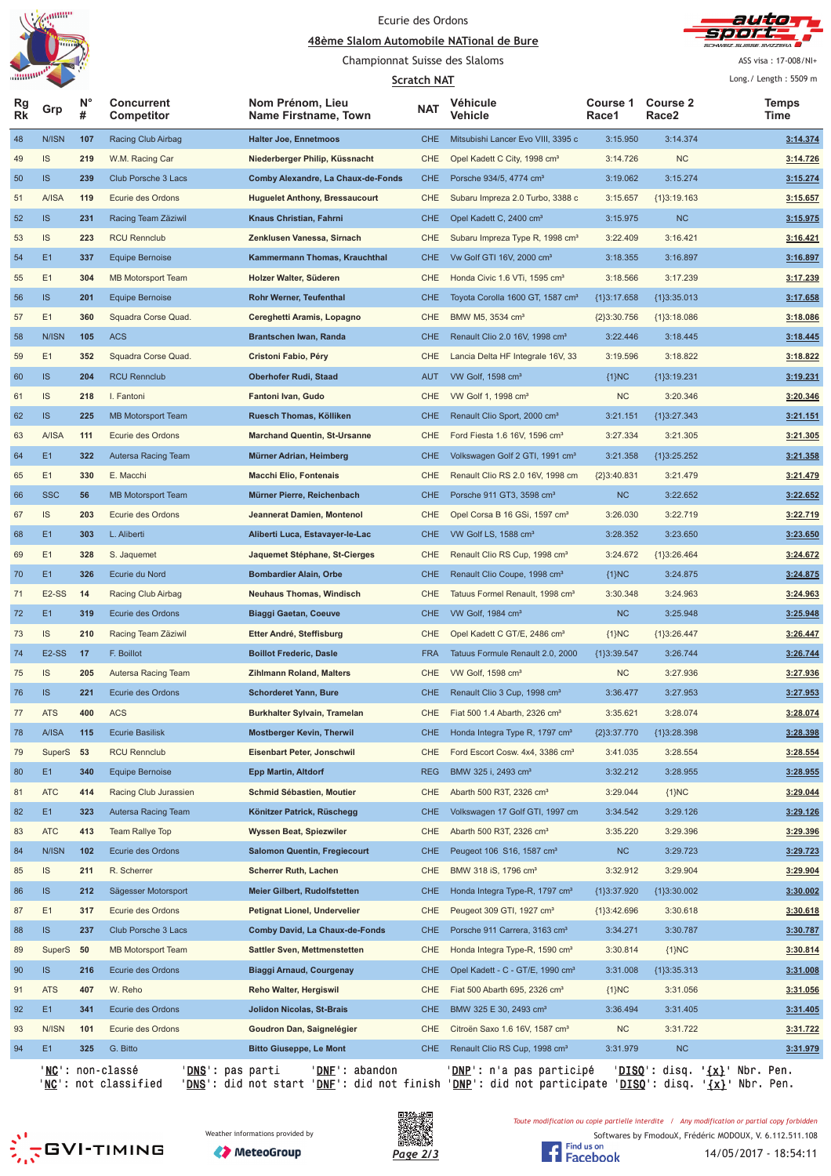





Championnat Suisse des Slaloms

**Scratch NAT** 

ASS visa: 17-008/NI+ Long./ Length: m

|          |                    |         |                                                        |                                                         | <u>Scratch NAT</u> |                                                                         |                   |                          | Lung. Length. JJU7 III                          |
|----------|--------------------|---------|--------------------------------------------------------|---------------------------------------------------------|--------------------|-------------------------------------------------------------------------|-------------------|--------------------------|-------------------------------------------------|
| Rg<br>Rk | Grp                | Ν°<br># | <b>Concurrent</b><br>Competitor                        | Nom Prénom, Lieu<br>Name Firstname, Town                | <b>NAT</b>         | Véhicule<br>Vehicle                                                     | Course 1<br>Race1 | <b>Course 2</b><br>Race2 | Temps<br>Time                                   |
| 48       | N/ISN              | 107     | Racing Club Airbag                                     | <b>Halter Joe, Ennetmoos</b>                            | <b>CHE</b>         | Mitsubishi Lancer Evo VIII, 3395 c                                      | 3:15.950          | 3:14.374                 | 3:14.374                                        |
| 49       | IS                 | 219     | W.M. Racing Car                                        | Niederberger Philip, Küssnacht                          | <b>CHE</b>         | Opel Kadett C City, 1998 cm <sup>3</sup>                                | 3:14.726          | <b>NC</b>                | 3:14.726                                        |
| 50       | <b>IS</b>          | 239     | Club Porsche 3 Lacs                                    | Comby Alexandre, La Chaux-de-Fonds                      | <b>CHE</b>         | Porsche 934/5, 4774 cm <sup>3</sup>                                     | 3:19.062          | 3:15.274                 | 3:15.274                                        |
| 51       | <b>A/ISA</b>       | 119     | Ecurie des Ordons                                      | <b>Huguelet Anthony, Bressaucourt</b>                   | <b>CHE</b>         | Subaru Impreza 2.0 Turbo, 3388 c                                        | 3:15.657          | ${1}3:19.163$            | 3:15.657                                        |
| 52       | <b>IS</b>          | 231     | Racing Team Zäziwil                                    | Knaus Christian, Fahrni                                 | <b>CHE</b>         | Opel Kadett C, 2400 cm <sup>3</sup>                                     | 3:15.975          | NC                       | 3:15.975                                        |
| 53       | IS                 | 223     | <b>RCU Rennclub</b>                                    | Zenklusen Vanessa, Sirnach                              | CHE                | Subaru Impreza Type R, 1998 cm <sup>3</sup>                             | 3:22.409          | 3:16.421                 | 3:16.421                                        |
| 54       | E1                 | 337     | <b>Equipe Bernoise</b>                                 | Kammermann Thomas, Krauchthal                           | <b>CHE</b>         | Vw Golf GTI 16V, 2000 cm <sup>3</sup>                                   | 3:18.355          | 3:16.897                 | 3:16.897                                        |
| 55       | E1                 | 304     | <b>MB Motorsport Team</b>                              | Holzer Walter, Süderen                                  | <b>CHE</b>         | Honda Civic 1.6 VTi, 1595 cm <sup>3</sup>                               | 3:18.566          | 3:17.239                 | 3:17.239                                        |
| 56       | <b>IS</b>          | 201     | <b>Equipe Bernoise</b>                                 | Rohr Werner, Teufenthal                                 | <b>CHE</b>         | Toyota Corolla 1600 GT, 1587 cm <sup>3</sup>                            | ${1}3:17.658$     | ${1}3:35.013$            | 3:17.658                                        |
| 57       | E1                 | 360     | Squadra Corse Quad.                                    | Cereghetti Aramis, Lopagno                              | <b>CHE</b>         | BMW M5, 3534 cm <sup>3</sup>                                            | ${2}3:30.756$     | ${1}3:18.086$            | 3:18.086                                        |
| 58       | N/ISN              | 105     | <b>ACS</b>                                             | Brantschen Iwan, Randa                                  | <b>CHE</b>         | Renault Clio 2.0 16V, 1998 cm <sup>3</sup>                              | 3:22.446          | 3:18.445                 | 3:18.445                                        |
| 59       | E1                 | 352     | Squadra Corse Quad.                                    | Cristoni Fabio, Péry                                    | CHE                | Lancia Delta HF Integrale 16V, 33                                       | 3:19.596          | 3:18.822                 | 3:18.822                                        |
| 60       | IS                 | 204     | <b>RCU Rennclub</b>                                    | <b>Oberhofer Rudi, Staad</b>                            | <b>AUT</b>         | VW Golf, 1598 cm <sup>3</sup>                                           | ${1}NC$           | ${1}3:19.231$            | 3:19.231                                        |
| 61       | IS                 | 218     | I. Fantoni                                             | Fantoni Ivan, Gudo                                      | <b>CHE</b>         | VW Golf 1, 1998 cm <sup>3</sup>                                         | NC                | 3:20.346                 | 3:20.346                                        |
| 62       | IS                 | 225     | <b>MB Motorsport Team</b>                              | Ruesch Thomas, Kölliken                                 | <b>CHE</b>         | Renault Clio Sport, 2000 cm <sup>3</sup>                                | 3:21.151          | ${1}3:27.343$            | 3:21.151                                        |
| 63       | A/ISA              | 111     | Ecurie des Ordons                                      | <b>Marchand Quentin, St-Ursanne</b>                     | <b>CHE</b>         | Ford Fiesta 1.6 16V, 1596 cm <sup>3</sup>                               | 3:27.334          | 3:21.305                 | 3:21.305                                        |
| 64       | E1                 | 322     | Autersa Racing Team                                    | Mürner Adrian, Heimberg                                 | <b>CHE</b>         | Volkswagen Golf 2 GTI, 1991 cm <sup>3</sup>                             | 3:21.358          | ${1}3:25.252$            | 3:21.358                                        |
| 65       | E1                 | 330     | E. Macchi                                              | <b>Macchi Elio, Fontenais</b>                           | <b>CHE</b>         | Renault Clio RS 2.0 16V, 1998 cm                                        | ${2}3:40.831$     | 3:21.479                 | 3:21.479                                        |
| 66       | <b>SSC</b>         | 56      | <b>MB Motorsport Team</b>                              | Mürner Pierre, Reichenbach                              | <b>CHE</b>         | Porsche 911 GT3, 3598 cm <sup>3</sup>                                   | <b>NC</b>         | 3:22.652                 | 3:22.652                                        |
| 67       | IS                 | 203     | Ecurie des Ordons                                      | Jeannerat Damien, Montenol                              | CHE                | Opel Corsa B 16 GSi, 1597 cm <sup>3</sup>                               | 3:26.030          | 3:22.719                 | 3:22.719                                        |
| 68       | E1                 | 303     | L. Aliberti                                            | Aliberti Luca, Estavayer-le-Lac                         | <b>CHE</b>         | VW Golf LS, 1588 cm <sup>3</sup>                                        | 3:28.352          | 3:23.650                 | 3:23.650                                        |
| 69       | E1                 | 328     | S. Jaquemet                                            | Jaquemet Stéphane, St-Cierges                           | <b>CHE</b>         | Renault Clio RS Cup, 1998 cm <sup>3</sup>                               | 3:24.672          | ${1}3:26.464$            | 3:24.672                                        |
| 70       | E1                 | 326     | Ecurie du Nord                                         | <b>Bombardier Alain, Orbe</b>                           | <b>CHE</b>         | Renault Clio Coupe, 1998 cm <sup>3</sup>                                | ${1}NC$           | 3:24.875                 | 3:24.875                                        |
| 71       | E2-SS              | 14      | Racing Club Airbag                                     | <b>Neuhaus Thomas, Windisch</b>                         | <b>CHE</b>         | Tatuus Formel Renault, 1998 cm <sup>3</sup>                             | 3:30.348          | 3:24.963                 | 3:24.963                                        |
| 72       | E1                 | 319     | Ecurie des Ordons                                      | <b>Biaggi Gaetan, Coeuve</b>                            | <b>CHE</b>         | VW Golf, 1984 cm <sup>3</sup>                                           | NC                | 3:25.948                 | 3:25.948                                        |
| 73       | IS                 | 210     | Racing Team Zäziwil                                    | Etter André, Steffisburg                                | <b>CHE</b>         | Opel Kadett C GT/E, 2486 cm <sup>3</sup>                                | ${1}NC$           | ${1}3:26.447$            | 3:26.447                                        |
| 74       | E <sub>2</sub> -SS | 17      | F. Boillot                                             | <b>Boillot Frederic, Dasle</b>                          | <b>FRA</b>         | Tatuus Formule Renault 2.0, 2000                                        | {1}3:39.547       | 3:26.744                 | 3:26.744                                        |
| 75       | IS                 | 205     | Autersa Racing Team                                    | <b>Zihlmann Roland, Malters</b>                         | CHE                | VW Golf, 1598 cm <sup>3</sup>                                           | <b>NC</b>         | 3:27.936                 | 3:27.936                                        |
| 76       | <b>IS</b>          | 221     | Ecurie des Ordons                                      | <b>Schorderet Yann, Bure</b>                            | <b>CHE</b>         | Renault Clio 3 Cup, 1998 cm <sup>3</sup>                                | 3:36.477          | 3:27.953                 | 3:27.953                                        |
| 77       | <b>ATS</b>         | 400     | <b>ACS</b>                                             | Burkhalter Sylvain, Tramelan                            | <b>CHE</b>         | Fiat 500 1.4 Abarth, 2326 cm <sup>3</sup>                               | 3:35.621          | 3:28.074                 | 3:28.074                                        |
| 78       | A/ISA              | 115     | <b>Ecurie Basilisk</b>                                 | <b>Mostberger Kevin, Therwil</b>                        | <b>CHE</b>         | Honda Integra Type R, 1797 cm <sup>3</sup>                              | ${2}3:37.770$     | ${1}3:28.398$            | 3:28.398                                        |
|          | SuperS             |         | <b>RCU Rennclub</b>                                    |                                                         | CHE                |                                                                         |                   |                          |                                                 |
| 79       |                    | 53      |                                                        | Eisenbart Peter, Jonschwil                              |                    | Ford Escort Cosw. 4x4, 3386 cm <sup>3</sup>                             | 3:41.035          | 3:28.554                 | 3:28.554                                        |
| 80       | E <sub>1</sub>     | 340     | <b>Equipe Bernoise</b>                                 | <b>Epp Martin, Altdorf</b><br>Schmid Sébastien, Moutier | <b>REG</b>         | BMW 325 i, 2493 cm <sup>3</sup><br>Abarth 500 R3T, 2326 cm <sup>3</sup> | 3:32.212          | 3:28.955                 | 3:28.955                                        |
| 81       | <b>ATC</b>         | 414     | Racing Club Jurassien                                  |                                                         | CHE                |                                                                         | 3:29.044          | ${1}NC$                  | 3:29.044<br>3:29.126                            |
| 82       | E1                 | 323     | Autersa Racing Team                                    | Könitzer Patrick, Rüschegg                              | <b>CHE</b>         | Volkswagen 17 Golf GTI, 1997 cm                                         | 3:34.542          | 3:29.126                 |                                                 |
| 83       | <b>ATC</b>         | 413     | <b>Team Rallye Top</b>                                 | Wyssen Beat, Spiezwiler                                 | CHE                | Abarth 500 R3T, 2326 cm <sup>3</sup>                                    | 3:35.220          | 3:29.396                 | 3:29.396                                        |
| 84       | N/ISN              | 102     | Ecurie des Ordons                                      | <b>Salomon Quentin, Fregiecourt</b>                     | <b>CHE</b>         | Peugeot 106 S16, 1587 cm <sup>3</sup>                                   | NC                | 3:29.723                 | 3:29.723                                        |
| 85       | IS                 | 211     | R. Scherrer                                            | <b>Scherrer Ruth, Lachen</b>                            | CHE                | BMW 318 iS, 1796 cm <sup>3</sup>                                        | 3:32.912          | 3:29.904                 | 3:29.904                                        |
| 86       | IS                 | 212     | Sägesser Motorsport                                    | Meier Gilbert, Rudolfstetten                            | <b>CHE</b>         | Honda Integra Type-R, 1797 cm <sup>3</sup>                              | ${1}3:37.920$     | ${1}3:30.002$            | 3:30.002                                        |
| 87       | E1                 | 317     | Ecurie des Ordons                                      | Petignat Lionel, Undervelier                            | CHE                | Peugeot 309 GTI, 1927 cm <sup>3</sup>                                   | ${1}3:42.696$     | 3:30.618                 | 3:30.618                                        |
| 88       | IS                 | 237     | Club Porsche 3 Lacs                                    | Comby David, La Chaux-de-Fonds                          | <b>CHE</b>         | Porsche 911 Carrera, 3163 cm <sup>3</sup>                               | 3:34.271          | 3:30.787                 | 3:30.787                                        |
| 89       | SuperS             | 50      | <b>MB Motorsport Team</b>                              | <b>Sattler Sven, Mettmenstetten</b>                     | CHE                | Honda Integra Type-R, 1590 cm <sup>3</sup>                              | 3:30.814          | ${1}NC$                  | 3:30.814                                        |
| 90       | IS.                | 216     | Ecurie des Ordons                                      | <b>Biaggi Arnaud, Courgenay</b>                         | <b>CHE</b>         | Opel Kadett - C - GT/E, 1990 cm <sup>3</sup>                            | 3:31.008          | ${1}3:35.313$            | 3:31.008                                        |
| 91       | <b>ATS</b>         | 407     | W. Reho                                                | Reho Walter, Hergiswil                                  | CHE                | Fiat 500 Abarth 695, 2326 cm <sup>3</sup>                               | ${1}NC$           | 3:31.056                 | 3:31.056                                        |
| 92       | E1                 | 341     | Ecurie des Ordons                                      | Jolidon Nicolas, St-Brais                               | <b>CHE</b>         | BMW 325 E 30, 2493 cm <sup>3</sup>                                      | 3:36.494          | 3:31.405                 | 3:31.405                                        |
| 93       | N/ISN              | 101     | Ecurie des Ordons                                      | Goudron Dan, Saignelégier                               | CHE                | Citroën Saxo 1.6 16V, 1587 cm <sup>3</sup>                              | NC                | 3:31.722                 | 3:31.722                                        |
| 94       | E1                 | 325     | G. Bitto                                               | <b>Bitto Giuseppe, Le Mont</b>                          | <b>CHE</b>         | Renault Clio RS Cup, 1998 cm <sup>3</sup>                               | 3:31.979          | <b>NC</b>                | 3:31.979                                        |
|          |                    |         | ' <u>NC</u> ': non-classé<br>' <u>DNS</u> ': pas parti | 'DNF': abandon                                          |                    | ' <u>DNP</u> ': n'a pas participé                                       |                   |                          | ' <u>DISQ</u> ': disq. ' <u>{x}</u> ' Nbr. Pen. |

'<u>NC</u>': not classified '<u>DNS</u>': did not start '<u>DNF</u>': did not finish '<u>DNP</u>': did not participate '<u>DISQ</u>': disq. '<u>{x}</u>' Nbr. Pen.







Toute modification ou copie partielle interdite / Any modification or partial copy forbidden

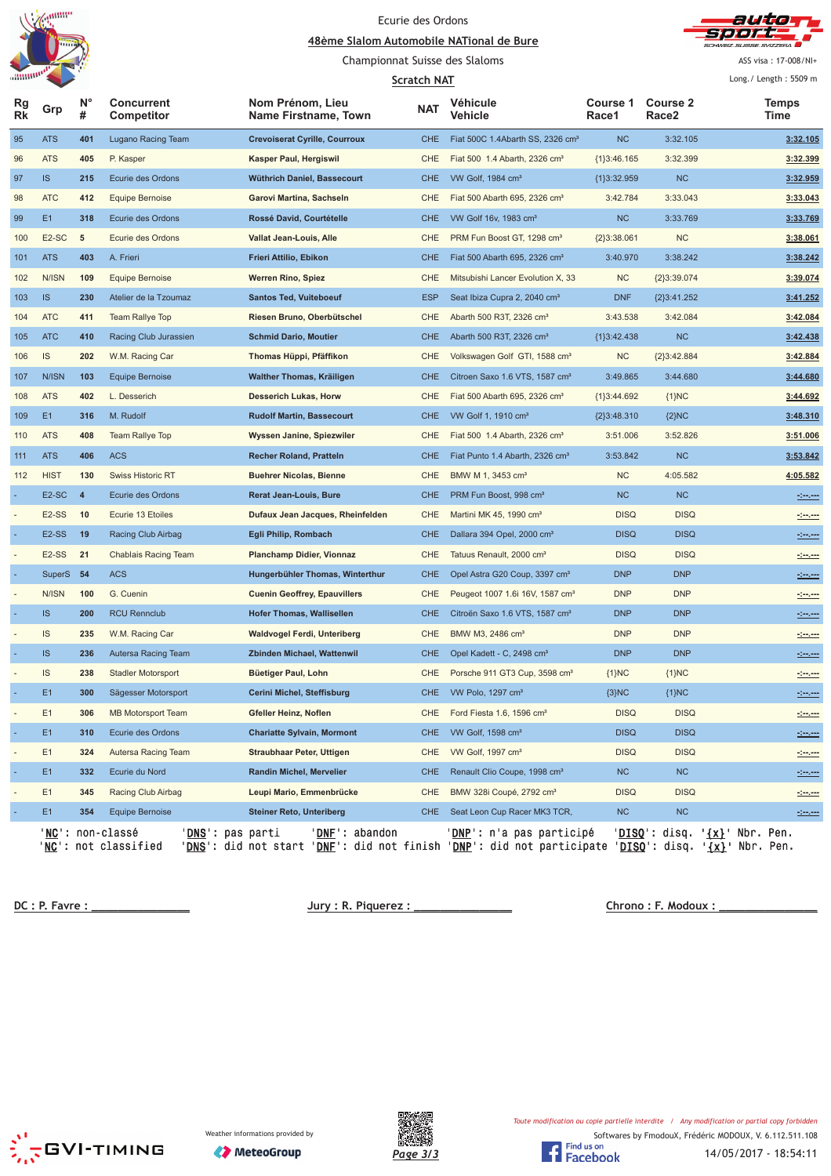





Championnat Suisse des Slaloms

ASS visa: 17-008/NI+  $\sqrt{1}$  ength  $\sqrt{5500}$ 

|          |                    |                  |                                                                             |                                                                                                                       | <b>Scratch NAT</b> |                                              |                   |                          | Long. / Length: $5509$ m                                                                                              |
|----------|--------------------|------------------|-----------------------------------------------------------------------------|-----------------------------------------------------------------------------------------------------------------------|--------------------|----------------------------------------------|-------------------|--------------------------|-----------------------------------------------------------------------------------------------------------------------|
| Rg<br>Rk | Grp                | $N^{\circ}$<br># | <b>Concurrent</b><br>Competitor                                             | Nom Prénom, Lieu<br>Name Firstname, Town                                                                              | <b>NAT</b>         | Véhicule<br>Vehicle                          | Course 1<br>Race1 | <b>Course 2</b><br>Race2 | Temps<br>Time                                                                                                         |
| 95       | <b>ATS</b>         | 401              | Lugano Racing Team                                                          | <b>Crevoiserat Cyrille, Courroux</b>                                                                                  | <b>CHE</b>         | Fiat 500C 1.4Abarth SS, 2326 cm <sup>3</sup> | <b>NC</b>         | 3:32.105                 | 3:32.105                                                                                                              |
| 96       | <b>ATS</b>         | 405              | P. Kasper                                                                   | Kasper Paul, Hergiswil                                                                                                | CHE                | Fiat 500 1.4 Abarth, 2326 cm <sup>3</sup>    | ${1}3:46.165$     | 3:32.399                 | 3:32.399                                                                                                              |
| 97       | IS                 | 215              | Ecurie des Ordons                                                           | Wüthrich Daniel, Bassecourt                                                                                           | <b>CHE</b>         | VW Golf, 1984 cm <sup>3</sup>                | ${1}3:32.959$     | NC                       | 3:32.959                                                                                                              |
| 98       | <b>ATC</b>         | 412              | Equipe Bernoise                                                             | Garovi Martina, Sachseln                                                                                              | CHE                | Fiat 500 Abarth 695, 2326 cm <sup>3</sup>    | 3:42.784          | 3:33.043                 | 3:33.043                                                                                                              |
| 99       | E1                 | 318              | Ecurie des Ordons                                                           | Rossé David, Courtételle                                                                                              | <b>CHE</b>         | VW Golf 16v, 1983 cm <sup>3</sup>            | <b>NC</b>         | 3:33.769                 | 3:33.769                                                                                                              |
| 100      | E <sub>2</sub> -SC | $\sqrt{5}$       | Ecurie des Ordons                                                           | Vallat Jean-Louis, Alle                                                                                               | CHE                | PRM Fun Boost GT, 1298 cm <sup>3</sup>       | ${2}3:38.061$     | <b>NC</b>                | 3:38.061                                                                                                              |
| 101      | <b>ATS</b>         | 403              | A. Frieri                                                                   | Frieri Attilio, Ebikon                                                                                                | <b>CHE</b>         | Fiat 500 Abarth 695, 2326 cm <sup>3</sup>    | 3:40.970          | 3:38.242                 | 3:38.242                                                                                                              |
| 102      | N/ISN              | 109              | Equipe Bernoise                                                             | <b>Werren Rino, Spiez</b>                                                                                             | CHE                | Mitsubishi Lancer Evolution X, 33            | <b>NC</b>         | ${2}3:39.074$            | 3:39.074                                                                                                              |
| 103      | IS                 | 230              | Atelier de la Tzoumaz                                                       | <b>Santos Ted, Vuiteboeuf</b>                                                                                         | <b>ESP</b>         | Seat Ibiza Cupra 2, 2040 cm <sup>3</sup>     | <b>DNF</b>        | ${2}3:41.252$            | 3:41.252                                                                                                              |
| 104      | <b>ATC</b>         | 411              | <b>Team Rallye Top</b>                                                      | Riesen Bruno, Oberbütschel                                                                                            | CHE                | Abarth 500 R3T, 2326 cm <sup>3</sup>         | 3:43.538          | 3:42.084                 | 3:42.084                                                                                                              |
| 105      | <b>ATC</b>         | 410              | Racing Club Jurassien                                                       | <b>Schmid Dario, Moutier</b>                                                                                          | <b>CHE</b>         | Abarth 500 R3T, 2326 cm <sup>3</sup>         | ${1}3:42.438$     | <b>NC</b>                | 3:42.438                                                                                                              |
| 106      | IS                 | 202              | W.M. Racing Car                                                             | Thomas Hüppi, Pfäffikon                                                                                               | <b>CHE</b>         | Volkswagen Golf GTI, 1588 cm <sup>3</sup>    | <b>NC</b>         | ${2}3:42.884$            | 3:42.884                                                                                                              |
| 107      | N/ISN              | 103              | <b>Equipe Bernoise</b>                                                      | Walther Thomas, Kräiligen                                                                                             | <b>CHE</b>         | Citroen Saxo 1.6 VTS, 1587 cm <sup>3</sup>   | 3:49.865          | 3:44.680                 | 3:44.680                                                                                                              |
| 108      | <b>ATS</b>         | 402              | L. Desserich                                                                | <b>Desserich Lukas, Horw</b>                                                                                          | CHE                | Fiat 500 Abarth 695, 2326 cm <sup>3</sup>    | ${1}3:44.692$     | ${1}NC$                  | 3:44.692                                                                                                              |
| 109      | E1                 | 316              | M. Rudolf                                                                   | <b>Rudolf Martin, Bassecourt</b>                                                                                      | <b>CHE</b>         | VW Golf 1, 1910 cm <sup>3</sup>              | ${2}3:48.310$     | ${2}NC$                  | 3:48.310                                                                                                              |
| 110      | <b>ATS</b>         | 408              | Team Rallye Top                                                             | Wyssen Janine, Spiezwiler                                                                                             | CHE                | Fiat 500 1.4 Abarth, 2326 cm <sup>3</sup>    | 3:51.006          | 3:52.826                 | 3:51.006                                                                                                              |
| 111      | <b>ATS</b>         | 406              | <b>ACS</b>                                                                  | <b>Recher Roland, Pratteln</b>                                                                                        | <b>CHE</b>         | Fiat Punto 1.4 Abarth, 2326 cm <sup>3</sup>  | 3:53.842          | <b>NC</b>                | 3:53.842                                                                                                              |
| 112      | <b>HIST</b>        | 130              | <b>Swiss Historic RT</b>                                                    | <b>Buehrer Nicolas, Bienne</b>                                                                                        | CHE                | BMW M 1, 3453 cm <sup>3</sup>                | <b>NC</b>         | 4:05.582                 | 4:05.582                                                                                                              |
|          | E <sub>2</sub> -SC | $\overline{4}$   | Ecurie des Ordons                                                           | <b>Rerat Jean-Louis, Bure</b>                                                                                         | <b>CHE</b>         | PRM Fun Boost, 998 cm <sup>3</sup>           | <b>NC</b>         | <b>NC</b>                | <u> - 100 - 100 - 100 - 100 - 100 - 100 - 100 - 100 - 100 - 100 - 100 - 100 - 100 - 100 - 100 - 100 - 100 - 100 -</u> |
|          | E <sub>2</sub> -SS | 10               | Ecurie 13 Etoiles                                                           | Dufaux Jean Jacques, Rheinfelden                                                                                      | <b>CHE</b>         | Martini MK 45, 1990 cm <sup>3</sup>          | <b>DISQ</b>       | <b>DISQ</b>              | <u>Seven</u>                                                                                                          |
|          | E <sub>2</sub> -SS | 19               | Racing Club Airbag                                                          | Egli Philip, Rombach                                                                                                  | <b>CHE</b>         | Dallara 394 Opel, 2000 cm <sup>3</sup>       | <b>DISQ</b>       | <b>DISQ</b>              |                                                                                                                       |
|          | E <sub>2</sub> -SS | 21               | <b>Chablais Racing Team</b>                                                 | <b>Planchamp Didier, Vionnaz</b>                                                                                      | CHE                | Tatuus Renault, 2000 cm <sup>3</sup>         | <b>DISQ</b>       | <b>DISQ</b>              |                                                                                                                       |
|          | SuperS 54          |                  | <b>ACS</b>                                                                  | Hungerbühler Thomas, Winterthur                                                                                       | <b>CHE</b>         | Opel Astra G20 Coup, 3397 cm <sup>3</sup>    | <b>DNP</b>        | <b>DNP</b>               | <u> 1999 - 19</u>                                                                                                     |
|          | N/ISN              | 100              | G. Cuenin                                                                   | <b>Cuenin Geoffrey, Epauvillers</b>                                                                                   | CHE                | Peugeot 1007 1.6i 16V, 1587 cm <sup>3</sup>  | <b>DNP</b>        | <b>DNP</b>               |                                                                                                                       |
|          | <b>IS</b>          | 200              | <b>RCU Rennclub</b>                                                         | <b>Hofer Thomas, Wallisellen</b>                                                                                      | <b>CHE</b>         | Citroën Saxo 1.6 VTS, 1587 cm <sup>3</sup>   | <b>DNP</b>        | <b>DNP</b>               |                                                                                                                       |
|          | IS                 | 235              | W.M. Racing Car                                                             | Waldvogel Ferdi, Unteriberg                                                                                           | CHE                | BMW M3, 2486 cm <sup>3</sup>                 | <b>DNP</b>        | <b>DNP</b>               | <u>ringen</u>                                                                                                         |
|          | <b>IS</b>          | 236              | Autersa Racing Team                                                         | Zbinden Michael, Wattenwil                                                                                            | <b>CHE</b>         | Opel Kadett - C, 2498 cm <sup>3</sup>        | <b>DNP</b>        | <b>DNP</b>               |                                                                                                                       |
|          | IS                 | 238              | <b>Stadler Motorsport</b>                                                   | Büetiger Paul, Lohn                                                                                                   | CHE                | Porsche 911 GT3 Cup, 3598 cm <sup>3</sup>    | ${1}NC$           | ${1}NC$                  |                                                                                                                       |
|          | E1                 | 300              | Sägesser Motorsport                                                         | Cerini Michel, Steffisburg                                                                                            | <b>CHE</b>         | VW Polo, 1297 cm <sup>3</sup>                | ${3}NC$           | ${1}NC$                  |                                                                                                                       |
|          | E1                 | 306              | <b>MB Motorsport Team</b>                                                   | Gfeller Heinz, Noflen                                                                                                 |                    | CHE Ford Fiesta 1.6, 1596 cm <sup>3</sup>    | <b>DISQ</b>       | <b>DISQ</b>              | <u>Seven</u>                                                                                                          |
|          | E1                 | 310              | Ecurie des Ordons                                                           | <b>Chariatte Sylvain, Mormont</b>                                                                                     | <b>CHE</b>         | VW Golf, 1598 cm <sup>3</sup>                | <b>DISQ</b>       | <b>DISQ</b>              | <u> 1999 - 199</u>                                                                                                    |
|          | E1                 | 324              | Autersa Racing Team                                                         | Straubhaar Peter, Uttigen                                                                                             | CHE                | VW Golf, 1997 cm <sup>3</sup>                | <b>DISQ</b>       | <b>DISQ</b>              |                                                                                                                       |
|          | E1                 | 332              | Ecurie du Nord                                                              | Randin Michel, Mervelier                                                                                              | <b>CHE</b>         | Renault Clio Coupe, 1998 cm <sup>3</sup>     | <b>NC</b>         | NC                       |                                                                                                                       |
|          | E1                 | 345              | Racing Club Airbag                                                          | Leupi Mario, Emmenbrücke                                                                                              | CHE                | BMW 328i Coupé, 2792 cm <sup>3</sup>         | <b>DISQ</b>       | <b>DISQ</b>              |                                                                                                                       |
|          | E1                 | 354              | <b>Equipe Bernoise</b>                                                      | <b>Steiner Reto, Unteriberg</b>                                                                                       | <b>CHE</b>         | Seat Leon Cup Racer MK3 TCR,                 | <b>NC</b>         | <b>NC</b>                |                                                                                                                       |
|          |                    |                  | ' <mark>NC</mark> ': non-classé<br>'DNS': pas parti<br>'NC': not classified | 'DNE': abandon<br>'DNS': did not start 'DNE': did not finish 'DNP': did not participate 'DISQ': disq. '{x}' Nbr. Pen. |                    | 'DNP': n'a pas participé                     |                   |                          | 'DISQ': disq. '{x}' Nbr. Pen.                                                                                         |

 **!"#\$** 

**<u>R. Modoux : \_\_\_\_\_\_\_\_\_\_\_\_\_\_\_\_</u>** 





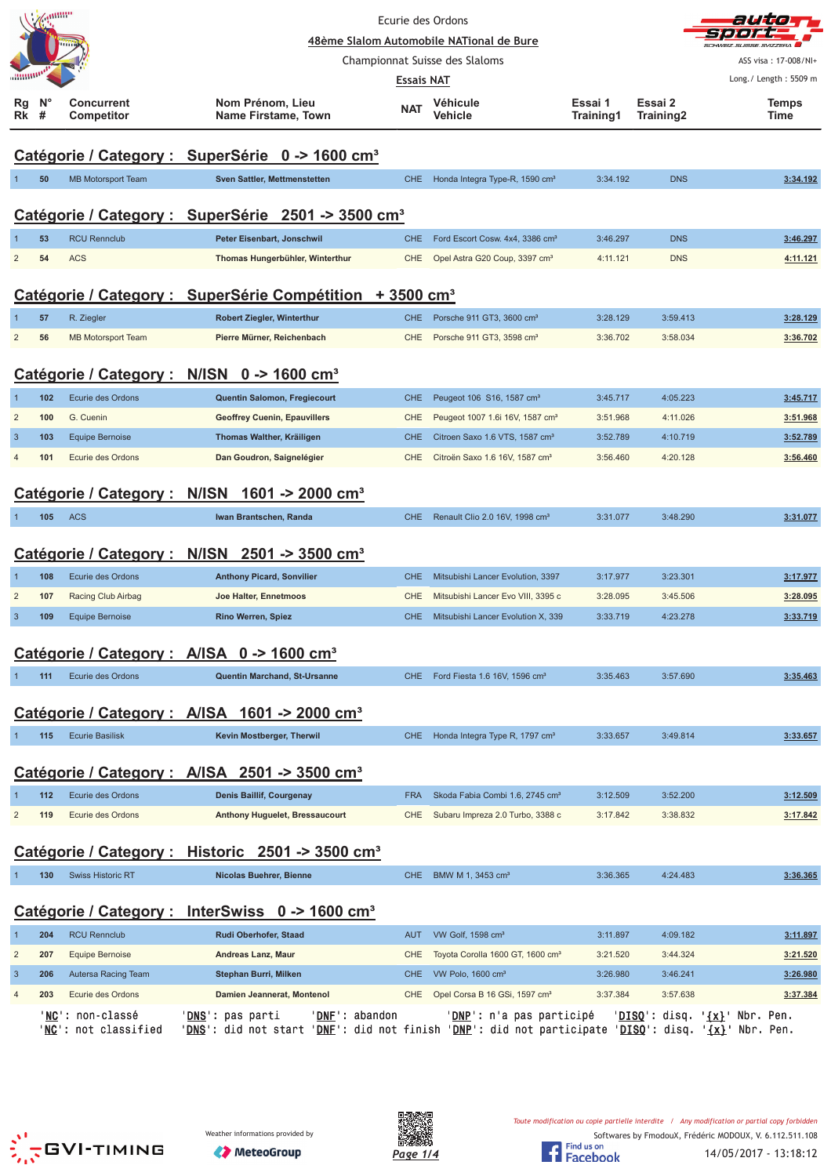|                                                           | annum  |                                          |                                                                                                                                                             |                          | Ecurie des Ordons                            |                      |                      |                                                 |  |  |
|-----------------------------------------------------------|--------|------------------------------------------|-------------------------------------------------------------------------------------------------------------------------------------------------------------|--------------------------|----------------------------------------------|----------------------|----------------------|-------------------------------------------------|--|--|
|                                                           |        |                                          |                                                                                                                                                             |                          | 48ème Slalom Automobile NATional de Bure     |                      |                      |                                                 |  |  |
|                                                           |        |                                          |                                                                                                                                                             |                          | Championnat Suisse des Slaloms               |                      |                      | ASS visa: 17-008/NI+<br>Long./ Length: 5509 m   |  |  |
| Rg<br>Rk                                                  | N<br># | <b>Concurrent</b><br>Competitor          | Nom Prénom, Lieu<br>Name Firstame, Town                                                                                                                     | Essais NAT<br><b>NAT</b> | Véhicule<br><b>Vehicle</b>                   | Essai 1<br>Training1 | Essai 2<br>Training2 | <b>Temps</b><br>Time                            |  |  |
|                                                           |        |                                          |                                                                                                                                                             |                          |                                              |                      |                      |                                                 |  |  |
|                                                           |        |                                          | Catégorie / Category : SuperSérie 0 -> 1600 cm <sup>3</sup>                                                                                                 |                          |                                              |                      |                      |                                                 |  |  |
|                                                           | 50     | <b>MB Motorsport Team</b>                | Sven Sattler, Mettmenstetten                                                                                                                                | <b>CHE</b>               | Honda Integra Type-R, 1590 cm <sup>3</sup>   | 3:34.192             | <b>DNS</b>           | 3:34.192                                        |  |  |
|                                                           |        |                                          | Catégorie / Category : SuperSérie 2501 -> 3500 cm <sup>3</sup>                                                                                              |                          |                                              |                      |                      |                                                 |  |  |
|                                                           | 53     | <b>RCU Rennclub</b>                      | Peter Eisenbart, Jonschwil                                                                                                                                  | <b>CHE</b>               | Ford Escort Cosw. 4x4, 3386 cm <sup>3</sup>  | 3:46.297             | <b>DNS</b>           | 3:46.297                                        |  |  |
| $\overline{2}$                                            | 54     | <b>ACS</b>                               | Thomas Hungerbühler, Winterthur                                                                                                                             | <b>CHE</b>               | Opel Astra G20 Coup, 3397 cm <sup>3</sup>    | 4:11.121             | <b>DNS</b>           | 4:11.121                                        |  |  |
|                                                           |        |                                          | Catégorie / Category : SuperSérie Compétition + 3500 cm <sup>3</sup>                                                                                        |                          |                                              |                      |                      |                                                 |  |  |
|                                                           | 57     | R. Ziegler                               | <b>Robert Ziegler, Winterthur</b>                                                                                                                           | <b>CHE</b>               | Porsche 911 GT3, 3600 cm <sup>3</sup>        | 3:28.129             | 3:59.413             | 3:28.129                                        |  |  |
| $\overline{c}$                                            | 56     | <b>MB Motorsport Team</b>                | Pierre Mürner, Reichenbach                                                                                                                                  | CHE                      | Porsche 911 GT3, 3598 cm <sup>3</sup>        | 3:36.702             | 3:58.034             | 3:36.702                                        |  |  |
|                                                           |        |                                          |                                                                                                                                                             |                          |                                              |                      |                      |                                                 |  |  |
|                                                           |        |                                          | Catégorie / Category : N/ISN 0 -> 1600 cm <sup>3</sup>                                                                                                      |                          |                                              |                      |                      |                                                 |  |  |
|                                                           | 102    | Ecurie des Ordons                        | Quentin Salomon, Fregiecourt                                                                                                                                | <b>CHE</b>               | Peugeot 106 S16, 1587 cm <sup>3</sup>        | 3:45.717             | 4:05.223             | 3:45.717                                        |  |  |
| $\overline{2}$                                            | 100    | G. Cuenin                                | <b>Geoffrey Cuenin, Epauvillers</b>                                                                                                                         | CHE                      | Peugeot 1007 1.6i 16V, 1587 cm <sup>3</sup>  | 3:51.968             | 4:11.026             | 3:51.968                                        |  |  |
| $\overline{3}$                                            | 103    | <b>Equipe Bernoise</b>                   | Thomas Walther, Kräiligen                                                                                                                                   | <b>CHE</b>               | Citroen Saxo 1.6 VTS, 1587 cm <sup>3</sup>   | 3:52.789             | 4:10.719             | 3:52.789                                        |  |  |
| $\overline{4}$                                            | 101    | Ecurie des Ordons                        | Dan Goudron, Saignelégier                                                                                                                                   | <b>CHE</b>               | Citroën Saxo 1.6 16V, 1587 cm <sup>3</sup>   | 3:56.460             | 4:20.128             | 3:56.460                                        |  |  |
| Catégorie / Category : N/ISN 1601 -> 2000 cm <sup>3</sup> |        |                                          |                                                                                                                                                             |                          |                                              |                      |                      |                                                 |  |  |
|                                                           | 105    | <b>ACS</b>                               | Iwan Brantschen, Randa                                                                                                                                      | CHE                      | Renault Clio 2.0 16V, 1998 cm <sup>3</sup>   | 3:31.077             | 3:48.290             | 3:31.077                                        |  |  |
|                                                           |        |                                          |                                                                                                                                                             |                          |                                              |                      |                      |                                                 |  |  |
|                                                           |        | Catégorie / Category :                   | <b>N/ISN</b><br>$2501 - 3500$ cm <sup>3</sup>                                                                                                               |                          |                                              |                      |                      |                                                 |  |  |
|                                                           | 108    | Ecurie des Ordons                        | <b>Anthony Picard, Sonvilier</b>                                                                                                                            | <b>CHE</b>               | Mitsubishi Lancer Evolution, 3397            | 3:17.977             | 3:23.301             | 3:17.977                                        |  |  |
| $\overline{2}$                                            | 107    | Racing Club Airbag                       | Joe Halter, Ennetmoos                                                                                                                                       | <b>CHE</b>               | Mitsubishi Lancer Evo VIII, 3395 c           | 3:28.095             | 3:45.506             | 3:28.095                                        |  |  |
| $\overline{3}$                                            | 109    | <b>Equipe Bernoise</b>                   | <b>Rino Werren, Spiez</b>                                                                                                                                   | CHE                      | Mitsubishi Lancer Evolution X, 339           | 3:33.719             | 4:23.278             | 3:33.719                                        |  |  |
|                                                           |        |                                          |                                                                                                                                                             |                          |                                              |                      |                      |                                                 |  |  |
|                                                           |        |                                          | Catégorie / Category : A/ISA 0 -> 1600 cm <sup>3</sup>                                                                                                      |                          |                                              |                      |                      |                                                 |  |  |
|                                                           | 111    | Ecurie des Ordons                        | Quentin Marchand, St-Ursanne                                                                                                                                | CHE.                     | Ford Fiesta 1.6 16V, 1596 cm <sup>3</sup>    | 3:35.463             | 3:57.690             | 3:35.463                                        |  |  |
|                                                           |        |                                          | Catégorie / Category : A/ISA 1601 -> 2000 cm <sup>3</sup>                                                                                                   |                          |                                              |                      |                      |                                                 |  |  |
|                                                           | 115    | <b>Ecurie Basilisk</b>                   | Kevin Mostberger, Therwil                                                                                                                                   | CHE.                     | Honda Integra Type R, 1797 cm <sup>3</sup>   | 3:33.657             | 3:49.814             | 3:33.657                                        |  |  |
|                                                           |        |                                          |                                                                                                                                                             |                          |                                              |                      |                      |                                                 |  |  |
|                                                           |        |                                          | Catégorie / Category : A/ISA 2501 -> 3500 cm <sup>3</sup>                                                                                                   |                          |                                              |                      |                      |                                                 |  |  |
|                                                           | 112    | Ecurie des Ordons                        | Denis Baillif, Courgenay                                                                                                                                    | <b>FRA</b>               | Skoda Fabia Combi 1.6, 2745 cm <sup>3</sup>  | 3:12.509             | 3:52.200             | 3:12.509                                        |  |  |
| $\overline{2}$                                            | 119    | Ecurie des Ordons                        | Anthony Huguelet, Bressaucourt                                                                                                                              | CHE                      | Subaru Impreza 2.0 Turbo, 3388 c             | 3:17.842             | 3:38.832             | 3:17.842                                        |  |  |
|                                                           |        |                                          | Catégorie / Category : Historic 2501 -> 3500 cm <sup>3</sup>                                                                                                |                          |                                              |                      |                      |                                                 |  |  |
|                                                           | 130    | <b>Swiss Historic RT</b>                 | <b>Nicolas Buehrer, Bienne</b>                                                                                                                              | CHE                      | BMW M 1, 3453 cm <sup>3</sup>                | 3:36.365             | 4:24.483             | 3:36.365                                        |  |  |
|                                                           |        |                                          |                                                                                                                                                             |                          |                                              |                      |                      |                                                 |  |  |
|                                                           |        |                                          | Catégorie / Category : InterSwiss 0 -> 1600 cm <sup>3</sup>                                                                                                 |                          |                                              |                      |                      |                                                 |  |  |
|                                                           | 204    | <b>RCU Rennclub</b>                      | Rudi Oberhofer, Staad                                                                                                                                       | <b>AUT</b>               | VW Golf, 1598 cm <sup>3</sup>                | 3:11.897             | 4:09.182             | 3:11.897                                        |  |  |
| $\overline{c}$                                            | 207    | Equipe Bernoise                          | Andreas Lanz, Maur                                                                                                                                          | CHE                      | Toyota Corolla 1600 GT, 1600 cm <sup>3</sup> | 3:21.520             | 3:44.324             | 3:21.520                                        |  |  |
| $\overline{3}$                                            | 206    | Autersa Racing Team                      | Stephan Burri, Milken                                                                                                                                       | <b>CHE</b>               | VW Polo, 1600 cm <sup>3</sup>                | 3:26.980             | 3:46.241             | 3:26.980                                        |  |  |
| $\overline{4}$                                            | 203    | Ecurie des Ordons                        | Damien Jeannerat, Montenol                                                                                                                                  | CHE                      | Opel Corsa B 16 GSi, 1597 cm <sup>3</sup>    | 3:37.384             | 3:57.638             | 3:37.384                                        |  |  |
|                                                           |        | 'NC': non-classé<br>'NC': not classified | ' <b>DNF</b> ': abandon<br>' <u>DNS</u> ': pas parti<br>'DNS': did not start 'DNE': did not finish 'DNP': did not participate 'DISQ': disq. '{X}' Nbr. Pen. |                          | ' <u>DNP</u> ': n'a pas participé            |                      |                      | ' <u>DISQ</u> ': disq. ' <u>{x}</u> ' Nbr. Pen. |  |  |





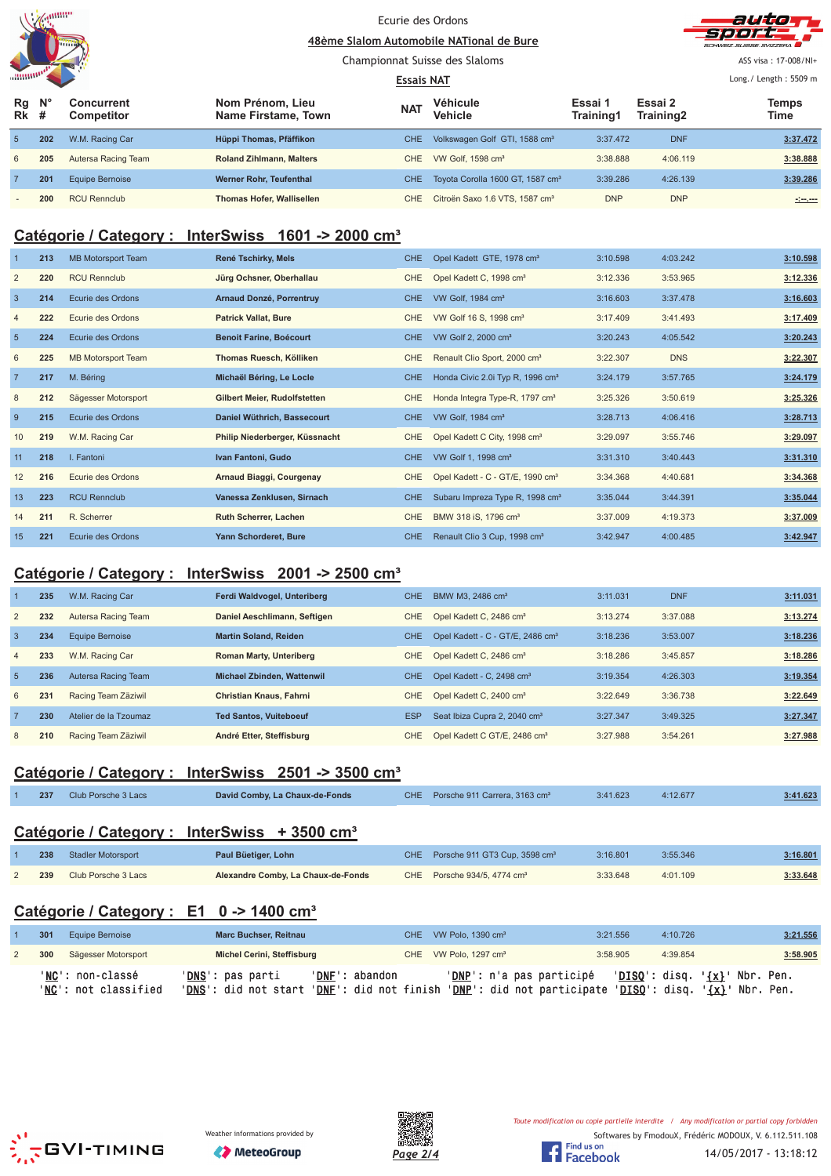|         | anum |
|---------|------|
|         |      |
|         |      |
| annumo! |      |





 $\triangle$ SS visa · 17-008/NI+

#### Championnat Suisse des Slaloms ß Long./ Length: 5509 m **Essais NAT N° Concurrent Véhicule Essai 1 Nom Prénom, Lieu Essai 2 Temps Rg The Manufacture of the Contract Level of Training1 Training2 Time Competitor Name Firstame, Town Vehicle Training2 # Rk** 5 **202** W.M. Racing Car **Hüppi Thomas, Pfäffikon** CHE Volkswagen Golf GTI, 1588 cm<sup>3</sup> 3:37.472 DNF 3:37.472 6 **205** Autersa Racing Team **Roland Zihlmann, Malters** CHE VW Golf, 1598 cm³ 3:38.888 4:06.119 **3:38.888** 7 **201** Equipe Bernoise **Werner Rohr, Teufenthal** CHE Toyota Corolla 1600 GT, 1587 cm<sup>3</sup> 3:39.286 4:26.139 3:39.286 - **200** RCU Rennclub **Thomas Hofer, Wallisellen** CHE Citroën Saxo 1.6 VTS, 1587 cm³ DNP DNP **-:--.---**

## **Catégorie / Category : InterSwiss 1601 -> 2000 cm³**

|                 | 213 | <b>MB Motorsport Team</b> | René Tschirky, Mels            | CHE.       | Opel Kadett GTE, 1978 cm <sup>3</sup>        | 3:10.598 | 4:03.242   | 3:10.598 |
|-----------------|-----|---------------------------|--------------------------------|------------|----------------------------------------------|----------|------------|----------|
| 2               | 220 | <b>RCU Rennclub</b>       | Jürg Ochsner, Oberhallau       | CHE.       | Opel Kadett C, 1998 cm <sup>3</sup>          | 3:12.336 | 3:53.965   | 3:12.336 |
| $\overline{3}$  | 214 | Ecurie des Ordons         | Arnaud Donzé, Porrentruy       | CHE.       | VW Golf, 1984 cm <sup>3</sup>                | 3:16.603 | 3:37.478   | 3:16.603 |
| $\overline{4}$  | 222 | Ecurie des Ordons         | <b>Patrick Vallat, Bure</b>    | <b>CHE</b> | VW Golf 16 S, 1998 cm <sup>3</sup>           | 3:17.409 | 3:41.493   | 3:17.409 |
| $5\phantom{.0}$ | 224 | Ecurie des Ordons         | <b>Benoit Farine, Boécourt</b> | CHE.       | VW Golf 2, 2000 cm <sup>3</sup>              | 3:20.243 | 4:05.542   | 3:20.243 |
| 6               | 225 | MB Motorsport Team        | Thomas Ruesch, Kölliken        | CHE.       | Renault Clio Sport, 2000 cm <sup>3</sup>     | 3:22.307 | <b>DNS</b> | 3:22.307 |
| $\overline{7}$  | 217 | M. Béring                 | Michaël Béring, Le Locle       | CHE        | Honda Civic 2.0i Typ R, 1996 cm <sup>3</sup> | 3:24.179 | 3:57.765   | 3:24.179 |
| 8               | 212 | Sägesser Motorsport       | Gilbert Meier, Rudolfstetten   | <b>CHE</b> | Honda Integra Type-R, 1797 cm <sup>3</sup>   | 3:25.326 | 3:50.619   | 3:25.326 |
| 9               | 215 | Ecurie des Ordons         | Daniel Wüthrich, Bassecourt    | CHE.       | VW Golf, 1984 cm <sup>3</sup>                | 3:28.713 | 4:06.416   | 3:28.713 |
| 10              | 219 | W.M. Racing Car           | Philip Niederberger, Küssnacht | <b>CHE</b> | Opel Kadett C City, 1998 cm <sup>3</sup>     | 3:29.097 | 3:55.746   | 3:29.097 |
| 11              | 218 | I. Fantoni                | Ivan Fantoni, Gudo             | CHE        | VW Golf 1, 1998 cm <sup>3</sup>              | 3:31.310 | 3:40.443   | 3:31.310 |
| 12              | 216 | Ecurie des Ordons         | Arnaud Biaggi, Courgenay       | CHE.       | Opel Kadett - C - GT/E, 1990 cm <sup>3</sup> | 3:34.368 | 4:40.681   | 3:34.368 |
| 13              | 223 | <b>RCU Rennclub</b>       | Vanessa Zenklusen, Sirnach     | CHE.       | Subaru Impreza Type R, 1998 cm <sup>3</sup>  | 3:35.044 | 3:44.391   | 3:35.044 |
| 14              | 211 | R. Scherrer               | <b>Ruth Scherrer, Lachen</b>   | CHE.       | BMW 318 iS, 1796 cm <sup>3</sup>             | 3:37.009 | 4:19.373   | 3:37.009 |
| 15              | 221 | Ecurie des Ordons         | Yann Schorderet, Bure          | CHE.       | Renault Clio 3 Cup, 1998 cm <sup>3</sup>     | 3:42.947 | 4:00.485   | 3:42.947 |

## **Catégorie / Category : InterSwiss 2001 -> 2500 cm³**

|                | 235 | W.M. Racing Car        | Ferdi Waldvogel, Unteriberg       | <b>CHE</b> | BMW M3, 2486 cm <sup>3</sup>                 | 3:11.031 | <b>DNF</b> | 3:11.031 |
|----------------|-----|------------------------|-----------------------------------|------------|----------------------------------------------|----------|------------|----------|
| 2              | 232 | Autersa Racing Team    | Daniel Aeschlimann, Seftigen      | CHE.       | Opel Kadett C, 2486 cm <sup>3</sup>          | 3:13.274 | 3:37.088   | 3:13.274 |
| 3              | 234 | <b>Equipe Bernoise</b> | <b>Martin Soland, Reiden</b>      | <b>CHE</b> | Opel Kadett - C - GT/E, 2486 cm <sup>3</sup> | 3:18.236 | 3:53.007   | 3:18.236 |
| $\overline{4}$ | 233 | W.M. Racing Car        | <b>Roman Marty, Unteriberg</b>    | CHE.       | Opel Kadett C, 2486 cm <sup>3</sup>          | 3:18.286 | 3:45.857   | 3:18.286 |
| $\overline{5}$ | 236 | Autersa Racing Team    | <b>Michael Zbinden, Wattenwil</b> | CHE.       | Opel Kadett - C, 2498 cm <sup>3</sup>        | 3:19.354 | 4:26.303   | 3:19.354 |
| 6              | 231 | Racing Team Zäziwil    | <b>Christian Knaus, Fahrni</b>    | CHE.       | Opel Kadett C, 2400 cm <sup>3</sup>          | 3:22.649 | 3:36.738   | 3:22.649 |
|                | 230 | Atelier de la Tzoumaz  | <b>Ted Santos, Vuiteboeuf</b>     | <b>ESP</b> | Seat Ibiza Cupra 2, 2040 cm <sup>3</sup>     | 3:27.347 | 3:49.325   | 3:27.347 |
| 8              | 210 | Racing Team Zäziwil    | André Etter, Steffisburg          | CHE        | Opel Kadett C GT/E, 2486 cm <sup>3</sup>     | 3:27.988 | 3:54.261   | 3:27.988 |

## **Catégorie / Category : InterSwiss 2501 -> 3500 cm³**

| 237 | Club Porsche 3 Lacs | David Comby, La Chaux-de-Fonds | CHE Porsche 911 Carrera, 3163 cm <sup>3</sup> | 3:41.623 | 4:12.677 | 3:41.623 |
|-----|---------------------|--------------------------------|-----------------------------------------------|----------|----------|----------|
|     |                     |                                |                                               |          |          |          |

## **Catégorie / Category : InterSwiss + 3500 cm³**

| 238 | <b>Stadler Motorsport</b> | Paul Büetiger, Lohn                | CHE Porsche 911 GT3 Cup, 3598 cm <sup>3</sup> | 3:16.801 | 3:55.346 | 3:16.801 |
|-----|---------------------------|------------------------------------|-----------------------------------------------|----------|----------|----------|
| 239 | Club Porsche 3 Lacs       | Alexandre Comby, La Chaux-de-Fonds | CHE Porsche 934/5, 4774 cm <sup>3</sup>       | 3:33.648 | 4:01.109 | 3:33.648 |

## **Catégorie / Category : E1 0 -> 1400 cm³**

| 301 | Equipe Bernoise                                   | <b>Marc Buchser, Reitnau</b>                                              |                | CHE VW Polo, 1390 cm <sup>3</sup> | 3:21.556 | 4:10.726 | 3:21.556                                                                                            |
|-----|---------------------------------------------------|---------------------------------------------------------------------------|----------------|-----------------------------------|----------|----------|-----------------------------------------------------------------------------------------------------|
| 300 | Sägesser Motorsport                               | Michel Cerini, Steffisburg                                                |                | CHE VW Polo, 1297 cm <sup>3</sup> | 3:58.905 | 4:39.854 | 3:58.905                                                                                            |
|     | ' <b>NC</b> ': non-classé<br>'NC': not classified | ' <b>DNS</b> ': pas parti<br>'DNS': did not start 'DNF': did not finish ' | 'DNF': abandon | ' <b>DNP</b> ': n'a pas participé |          |          | $'DISO': disq. '\{x}': Nbr. Pen.$<br>'DNP': did not participate 'DISQ': disq. ' $\{x\}$ ' Nbr. Pen. |





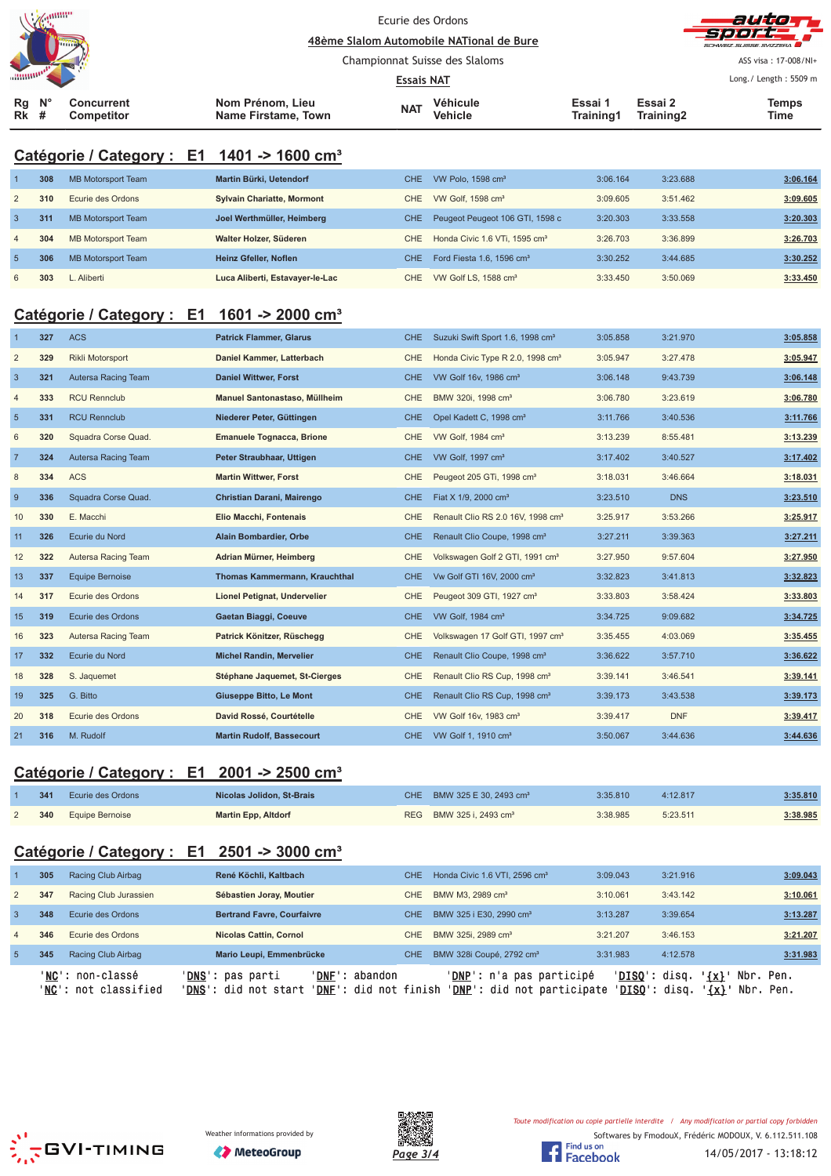|                |         |                                                        |                                         |                   | Ecurie des Ordons<br>48ème Slalom Automobile NATional de Bure |                      |                      |                       |
|----------------|---------|--------------------------------------------------------|-----------------------------------------|-------------------|---------------------------------------------------------------|----------------------|----------------------|-----------------------|
|                |         |                                                        |                                         |                   | Championnat Suisse des Slaloms                                |                      |                      | ASS visa: 17-008/NI+  |
|                |         |                                                        |                                         | <b>Essais NAT</b> |                                                               |                      |                      | Long./ Length: 5509 m |
| Rg<br>Rk       | V.<br># | Concurrent<br>Competitor                               | Nom Prénom, Lieu<br>Name Firstame, Town | <b>NAT</b>        | Véhicule<br>Vehicle                                           | Essai 1<br>Training1 | Essai 2<br>Training2 | <b>Temps</b><br>Time  |
|                |         | Catégorie / Category : E1 1401 -> 1600 cm <sup>3</sup> |                                         |                   |                                                               |                      |                      |                       |
| $\mathbf 1$    | 308     | <b>MB Motorsport Team</b>                              | Martin Bürki, Uetendorf                 | CHE               | VW Polo, 1598 cm <sup>3</sup>                                 | 3:06.164             | 3:23.688             | 3:06.164              |
| $\overline{2}$ | 310     | Ecurie des Ordons                                      | <b>Sylvain Chariatte, Mormont</b>       | CHE               | VW Golf, 1598 cm <sup>3</sup>                                 | 3:09.605             | 3:51.462             | 3:09.605              |
| $\mathbf{3}$   | 311     | <b>MB Motorsport Team</b>                              | Joel Werthmüller, Heimberg              | CHE               | Peugeot Peugeot 106 GTI, 1598 c                               | 3:20.303             | 3:33.558             | 3:20.303              |
| $\overline{4}$ | 304     | <b>MB Motorsport Team</b>                              | Walter Holzer, Süderen                  | <b>CHE</b>        | Honda Civic 1.6 VTi, 1595 cm <sup>3</sup>                     | 3:26.703             | 3:36.899             | 3:26.703              |
| $5\phantom{1}$ | 306     | <b>MB Motorsport Team</b>                              | Heinz Gfeller, Noflen                   | <b>CHE</b>        | Ford Fiesta 1.6, 1596 cm <sup>3</sup>                         | 3:30.252             | 3:44.685             | 3:30.252              |
| 6              | 303     | L. Aliberti                                            | Luca Aliberti, Estavayer-le-Lac         | CHE.              | VW Golf LS, 1588 cm <sup>3</sup>                              | 3:33.450             | 3:50.069             | 3:33.450              |
|                |         |                                                        |                                         |                   |                                                               |                      |                      |                       |
|                |         | Catégorie / Category : E1 1601 -> 2000 cm <sup>3</sup> |                                         |                   |                                                               |                      |                      |                       |
| $\mathbf 1$    | 327     | <b>ACS</b>                                             | <b>Patrick Flammer, Glarus</b>          | <b>CHE</b>        | Suzuki Swift Sport 1.6, 1998 cm <sup>3</sup>                  | 3:05.858             | 3:21.970             | 3:05.858              |
| $\overline{2}$ | 329     | Rikli Motorsport                                       | Daniel Kammer, Latterbach               | CHE               | Honda Civic Type R 2.0, 1998 cm <sup>3</sup>                  | 3:05.947             | 3:27.478             | 3:05.947              |
| $\mathbf{3}$   | 321     | Autersa Racing Team                                    | <b>Daniel Wittwer, Forst</b>            | CHE               | VW Golf 16v, 1986 cm <sup>3</sup>                             | 3:06.148             | 9:43.739             | 3:06.148              |
| $\overline{4}$ | 333     | <b>RCU Rennclub</b>                                    | Manuel Santonastaso, Müllheim           | CHE               | BMW 320i, 1998 cm <sup>3</sup>                                | 3:06.780             | 3:23.619             | 3:06.780              |
| $\overline{5}$ | 331     | <b>RCU Rennclub</b>                                    | Niederer Peter, Güttingen               | <b>CHE</b>        | Opel Kadett C, 1998 cm <sup>3</sup>                           | 3:11.766             | 3:40.536             | 3:11.766              |
| 6              | 320     | Squadra Corse Quad.                                    | <b>Emanuele Tognacca, Brione</b>        | <b>CHE</b>        | VW Golf, 1984 cm <sup>3</sup>                                 | 3:13.239             | 8:55.481             | 3:13.239              |
| $\overline{7}$ | 324     | Autersa Racing Team                                    | Peter Straubhaar, Uttigen               | <b>CHE</b>        | VW Golf, 1997 cm <sup>3</sup>                                 | 3:17.402             | 3:40.527             | 3:17.402              |
| 8              | 334     | <b>ACS</b>                                             | <b>Martin Wittwer, Forst</b>            | <b>CHE</b>        | Peugeot 205 GTi, 1998 cm <sup>3</sup>                         | 3:18.031             | 3:46.664             | 3:18.031              |
| $\overline{9}$ | 336     | Squadra Corse Quad.                                    | Christian Darani, Mairengo              | <b>CHE</b>        | Fiat X 1/9, 2000 cm <sup>3</sup>                              | 3:23.510             | <b>DNS</b>           | 3:23.510              |
| 10             | 330     | E. Macchi                                              | Elio Macchi, Fontenais                  | CHE               | Renault Clio RS 2.0 16V, 1998 cm <sup>3</sup>                 | 3:25.917             | 3:53.266             | 3:25.917              |
| 11             | 326     | Ecurie du Nord                                         | Alain Bombardier, Orbe                  | <b>CHE</b>        | Renault Clio Coupe, 1998 cm <sup>3</sup>                      | 3:27.211             | 3:39.363             | 3:27.211              |
| 12             | 322     | Autersa Racing Team                                    | Adrian Mürner, Heimberg                 | <b>CHE</b>        | Volkswagen Golf 2 GTI, 1991 cm <sup>3</sup>                   | 3:27.950             | 9:57.604             | 3:27.950              |
| 13             | 337     | <b>Equipe Bernoise</b>                                 | <b>Thomas Kammermann, Krauchthal</b>    | <b>CHE</b>        | Vw Golf GTI 16V, 2000 cm <sup>3</sup>                         | 3:32.823             | 3:41.813             | 3:32.823              |
| 14             | 317     | Ecurie des Ordons                                      | Lionel Petignat, Undervelier            | <b>CHE</b>        | Peugeot 309 GTI, 1927 cm <sup>3</sup>                         | 3:33.803             | 3:58.424             | 3:33.803              |
| 15             | 319     | Ecurie des Ordons                                      | Gaetan Biaggi, Coeuve                   | CHE.              | VW Golf, 1984 cm <sup>3</sup>                                 | 3:34.725             | 9:09.682             | 3:34.725              |
| 16             | 323     | Autersa Racing Team                                    | Patrick Könitzer, Rüschegg              | <b>CHE</b>        | Volkswagen 17 Golf GTI, 1997 cm <sup>3</sup>                  | 3:35.455             | 4:03.069             | 3:35.455              |
| 17             | 332     | Ecurie du Nord                                         | <b>Michel Randin, Mervelier</b>         | <b>CHE</b>        | Renault Clio Coupe, 1998 cm <sup>3</sup>                      | 3:36.622             | 3:57.710             | 3:36.622              |
| 18             | 328     | S. Jaquemet                                            | Stéphane Jaquemet, St-Cierges           | <b>CHE</b>        | Renault Clio RS Cup, 1998 cm <sup>3</sup>                     | 3:39.141             | 3:46.541             | 3:39.141              |
| 19             | 325     | G. Bitto                                               | Giuseppe Bitto, Le Mont                 | CHE               | Renault Clio RS Cup, 1998 cm <sup>3</sup>                     | 3:39.173             | 3:43.538             | 3:39.173              |
| 20             | 318     | Ecurie des Ordons                                      | David Rossé, Courtételle                | <b>CHE</b>        | VW Golf 16v, 1983 cm <sup>3</sup>                             | 3:39.417             | <b>DNF</b>           | 3:39.417              |
| 21             | 316     | M. Rudolf                                              | <b>Martin Rudolf, Bassecourt</b>        |                   | CHE VW Golf 1, 1910 cm <sup>3</sup>                           | 3:50.067             | 3:44.636             | 3:44.636              |

## **Catégorie / Category : E1 2001 -> 2500 cm³**

| 341 | Ecurie des Ordons          | Nicolas Jolidon, St-Brais  | CHE BMW 325 E 30, 2493 cm <sup>3</sup> | 3:35.810 | 4:12.817 | 3:35.810 |
|-----|----------------------------|----------------------------|----------------------------------------|----------|----------|----------|
|     | <b>340</b> Equipe Bernoise | <b>Martin Epp, Altdorf</b> | REG BMW 325 i. 2493 cm <sup>3</sup>    | 3:38.985 | 5:23.511 | 3:38.985 |

## **Catégorie / Category : E1 2501 -> 3000 cm³**

|                 | 305 | Racing Club Airbag                       | René Köchli, Kaltbach                                                                                         | CHE.       | Honda Civic 1.6 VTI, 2596 cm <sup>3</sup>                       | 3:09.043                                | 3:21.916                                         | 3:09.043 |
|-----------------|-----|------------------------------------------|---------------------------------------------------------------------------------------------------------------|------------|-----------------------------------------------------------------|-----------------------------------------|--------------------------------------------------|----------|
| 2               | 347 | Racing Club Jurassien                    | Sébastien Joray, Moutier                                                                                      | CHE        | BMW M3, 2989 cm <sup>3</sup>                                    | 3:10.061                                | 3:43.142                                         | 3:10.061 |
| 3               | 348 | Ecurie des Ordons                        | <b>Bertrand Favre, Courfaivre</b>                                                                             | CHE.       | BMW 325 i E30, 2990 cm <sup>3</sup>                             | 3:13.287                                | 3:39.654                                         | 3:13.287 |
| $\overline{4}$  | 346 | Ecurie des Ordons                        | <b>Nicolas Cattin, Cornol</b>                                                                                 | <b>CHE</b> | BMW 325i, 2989 cm <sup>3</sup>                                  | 3:21.207                                | 3:46.153                                         | 3:21.207 |
| $5\overline{)}$ | 345 | Racing Club Airbag                       | Mario Leupi, Emmenbrücke                                                                                      | CHE.       | BMW 328i Coupé, 2792 cm <sup>3</sup>                            | 3:31.983                                | 4:12.578                                         | 3:31.983 |
|                 |     | 'NC': non-classé<br>'NC': not classified | ' <b>DNS':</b> pas parti<br>' <b>DNF</b> ': abandon<br>'DNS': did not start<br>' <b>DNF</b> ': did not finish |            | ' <b>DNP</b> ': n'a pas participé<br>'DNP': did not participate | ' <b>DISO</b> ': disq.<br>'DISQ': disq. | $\{x\}$<br>Nbr. Pen.<br>$'$ {x} $'$<br>Nbr. Pen. |          |





Softwares by FmodouX, Frédéric MODOUX, V. 6.112.511.108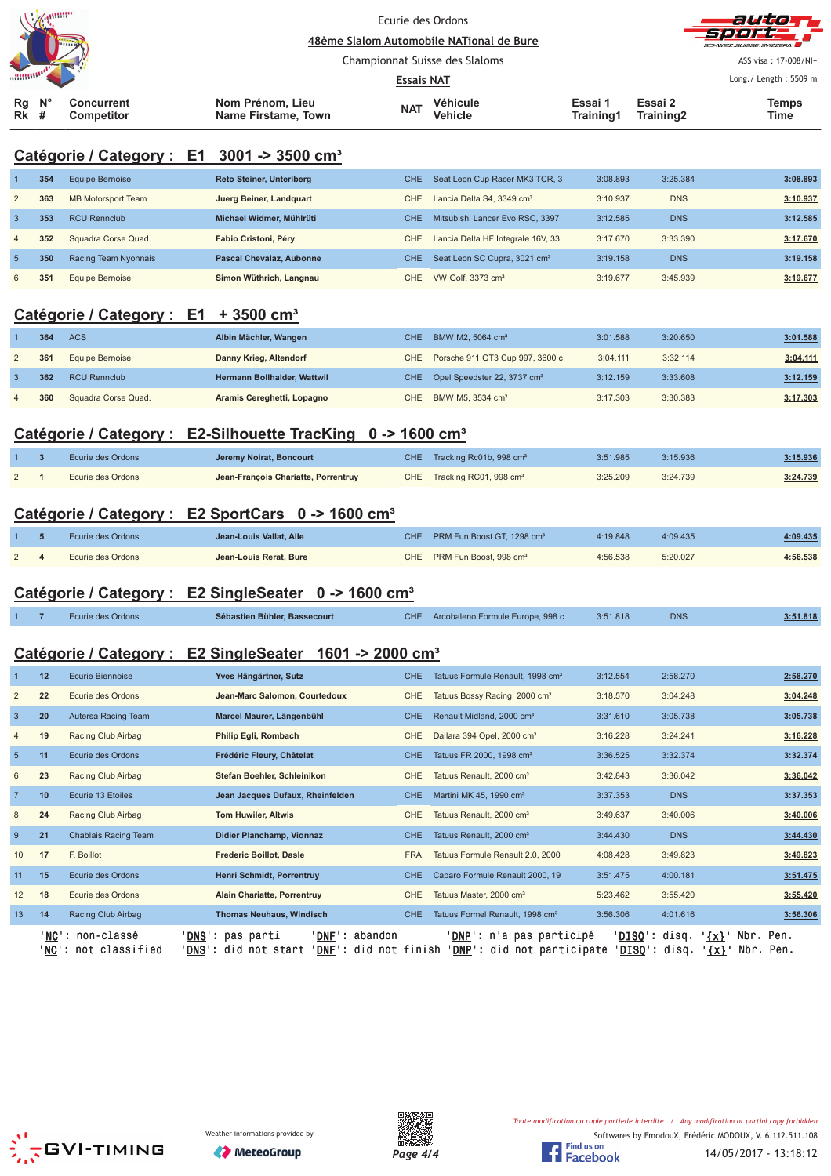| <b>Alegunnia</b><br><b>TELETIN</b>                                                   |  |                                         | Ecurie des Ordons<br>48ème Slalom Automobile NATional de Bure |                     |                      |                      | autor<br><b>Sport</b><br>SCHWEIZ SUISSE SVIZZEDA |
|--------------------------------------------------------------------------------------|--|-----------------------------------------|---------------------------------------------------------------|---------------------|----------------------|----------------------|--------------------------------------------------|
|                                                                                      |  |                                         | Championnat Suisse des Slaloms<br><b>Essais NAT</b>           |                     |                      |                      | ASS visa: 17-008/NI+<br>Long./ Length: 5509 m    |
| $\mathsf{N}^\circ$<br><b>Concurrent</b><br>Rg<br><b>Rk</b><br><b>Competitor</b><br># |  | Nom Prénom, Lieu<br>Name Firstame, Town | <b>NAT</b>                                                    | Véhicule<br>Vehicle | Essai 1<br>Training1 | Essai 2<br>Training2 | Temps<br>Time                                    |

## **Catégorie / Category : E1 3001 -> 3500 cm³**

|                | 354 | Equipe Bernoise           | <b>Reto Steiner, Unteriberg</b> | CHE. | Seat Leon Cup Racer MK3 TCR, 3           | 3:08.893 | 3:25.384   | 3:08.893 |
|----------------|-----|---------------------------|---------------------------------|------|------------------------------------------|----------|------------|----------|
| 2              | 363 | <b>MB Motorsport Team</b> | Juerg Beiner, Landquart         | CHE  | Lancia Delta S4, 3349 cm <sup>3</sup>    | 3:10.937 | <b>DNS</b> | 3:10.937 |
|                | 353 | <b>RCU Rennclub</b>       | Michael Widmer, Mühlrüti        | CHE. | Mitsubishi Lancer Evo RSC, 3397          | 3:12.585 | <b>DNS</b> | 3:12.585 |
| $\overline{4}$ | 352 | Squadra Corse Quad.       | Fabio Cristoni, Péry            | CHE. | Lancia Delta HF Integrale 16V, 33        | 3:17.670 | 3:33.390   | 3:17.670 |
| -5             | 350 | Racing Team Nyonnais      | <b>Pascal Chevalaz, Aubonne</b> | CHE. | Seat Leon SC Cupra, 3021 cm <sup>3</sup> | 3:19.158 | <b>DNS</b> | 3:19.158 |
| 6              | 35' | Equipe Bernoise           | Simon Wüthrich, Langnau         | CHE. | VW Golf, 3373 cm <sup>3</sup>            | 3:19.677 | 3:45.939   | 3:19.677 |

#### **Catégorie / Category : E1 + 3500 cm³**

| 364 | <b>ACS</b>          | Albin Mächler, Wangen       | CHE. | BMW M2, 5064 cm <sup>3</sup>                | 3:01.588 | 3:20.650 | 3:01.588 |
|-----|---------------------|-----------------------------|------|---------------------------------------------|----------|----------|----------|
| 361 | Equipe Bernoise     | Danny Krieg, Altendorf      |      | CHE Porsche 911 GT3 Cup 997, 3600 c         | 3:04.111 | 3:32.114 | 3:04.111 |
| 362 | <b>RCU Rennclub</b> | Hermann Bollhalder, Wattwil |      | CHE Opel Speedster 22, 3737 cm <sup>3</sup> | 3:12.159 | 3:33.608 | 3:12.159 |
| 360 | Squadra Corse Quad. | Aramis Cereghetti, Lopagno  | CHE  | BMW M5, 3534 cm <sup>3</sup>                | 3:17.303 | 3:30.383 | 3:17.303 |

#### Catégorie / Category : E2-Silhouette TracKing 0 -> 1600 cm<sup>3</sup>

|            | Ecurie des Ordons | Jeremy Noirat, Boncourt             | CHE Tracking Rc01b, 998 cm <sup>3</sup> | 3:51.985 | 3:15.936 | 3:15.936 |
|------------|-------------------|-------------------------------------|-----------------------------------------|----------|----------|----------|
| $\sqrt{2}$ | Ecurie des Ordons | Jean-François Chariatte, Porrentruy | CHE Tracking RC01, 998 cm <sup>3</sup>  | 3:25.209 | 3:24.739 | 3:24.739 |

## **Catégorie / Category : E2 SportCars 0 -> 1600 cm³**

|          | Ecurie des Ordons | Jean-Louis Vallat, Alle | CHE PRM Fun Boost GT. 1298 cm <sup>3</sup> | 4:19.848 | 4:09.435 | 4:09.435           |
|----------|-------------------|-------------------------|--------------------------------------------|----------|----------|--------------------|
| $\Omega$ | Ecurie des Ordons | Jean-Louis Rerat, Bure  | CHE PRM Fun Boost, 998 cm <sup>3</sup>     | 4:56.538 | 5:20.027 | 4:56.538<br>______ |

#### **Catégorie / Category : E2 SingleSeater 0 -> 1600 cm³**

|  |  | Ecurie des Ordons | Sébastien Bühler, Bassecourt |  | CHE Arcobaleno Formule Europe, 998 c | 3:51.818 | <b>DNS</b> | 3:51.818 |
|--|--|-------------------|------------------------------|--|--------------------------------------|----------|------------|----------|
|--|--|-------------------|------------------------------|--|--------------------------------------|----------|------------|----------|

## **Catégorie / Category : E2 SingleSeater 1601 -> 2000 cm³**

|                 | ' NC ' | ' <b>NC</b> ': non-classé<br>: not classified<br>DNS' | ' DNF '<br>' <b>DNS</b> ': pas parti<br>abandon<br>DNF: did not finish<br>: did not start |            | ' <b>DNP</b> ': n'a pas participé<br><b>DNP':</b> did not participate' | 'DISQ':<br>'DISO': | Nbr.<br>' {x} '<br>disq.<br><u>'{x}</u><br>disq. | Pen.<br>Nbr. Pen. |
|-----------------|--------|-------------------------------------------------------|-------------------------------------------------------------------------------------------|------------|------------------------------------------------------------------------|--------------------|--------------------------------------------------|-------------------|
| 13              | 14     | Racing Club Airbag                                    | <b>Thomas Neuhaus, Windisch</b>                                                           | <b>CHE</b> | Tatuus Formel Renault, 1998 cm <sup>3</sup>                            | 3:56.306           | 4:01.616                                         | 3:56.306          |
| 12              | 18     | Ecurie des Ordons                                     | <b>Alain Chariatte, Porrentruy</b>                                                        | <b>CHE</b> | Tatuus Master, 2000 cm <sup>3</sup>                                    | 5:23.462           | 3:55.420                                         | 3:55.420          |
| 11              | 15     | Ecurie des Ordons                                     | Henri Schmidt, Porrentruy                                                                 | <b>CHE</b> | Caparo Formule Renault 2000, 19                                        | 3:51.475           | 4:00.181                                         | 3:51.475          |
| 10              | 17     | F. Boillot                                            | <b>Frederic Boillot, Dasle</b>                                                            | <b>FRA</b> | Tatuus Formule Renault 2.0, 2000                                       | 4:08.428           | 3:49.823                                         | 3:49.823          |
| 9               | 21     | Chablais Racing Team                                  | Didier Planchamp, Vionnaz                                                                 | <b>CHE</b> | Tatuus Renault, 2000 cm <sup>3</sup>                                   | 3:44.430           | <b>DNS</b>                                       | 3:44.430          |
| 8               | 24     | Racing Club Airbag                                    | <b>Tom Huwiler, Altwis</b>                                                                | <b>CHE</b> | Tatuus Renault, 2000 cm <sup>3</sup>                                   | 3:49.637           | 3:40.006                                         | 3:40.006          |
| $\overline{7}$  | 10     | Ecurie 13 Etoiles                                     | Jean Jacques Dufaux, Rheinfelden                                                          | <b>CHE</b> | Martini MK 45, 1990 cm <sup>3</sup>                                    | 3:37.353           | <b>DNS</b>                                       | 3:37.353          |
| 6               | 23     | Racing Club Airbag                                    | Stefan Boehler, Schleinikon                                                               | <b>CHE</b> | Tatuus Renault, 2000 cm <sup>3</sup>                                   | 3:42.843           | 3:36.042                                         | 3:36.042          |
| $5\phantom{.0}$ | 11     | Ecurie des Ordons                                     | Frédéric Fleury, Châtelat                                                                 | <b>CHE</b> | Tatuus FR 2000, 1998 cm <sup>3</sup>                                   | 3:36.525           | 3:32.374                                         | 3:32.374          |
| 4               | 19     | Racing Club Airbag                                    | Philip Egli, Rombach                                                                      | <b>CHE</b> | Dallara 394 Opel, 2000 cm <sup>3</sup>                                 | 3:16.228           | 3:24.241                                         | 3:16.228          |
| $\mathbf{3}$    | 20     | Autersa Racing Team                                   | Marcel Maurer, Längenbühl                                                                 | <b>CHE</b> | Renault Midland, 2000 cm <sup>3</sup>                                  | 3:31.610           | 3:05.738                                         | 3:05.738          |
| $\overline{2}$  | 22     | Ecurie des Ordons                                     | Jean-Marc Salomon, Courtedoux                                                             | <b>CHE</b> | Tatuus Bossy Racing, 2000 cm <sup>3</sup>                              | 3:18.570           | 3:04.248                                         | 3:04.248          |
|                 | 12     | <b>Ecurie Biennoise</b>                               | Yves Hängärtner, Sutz                                                                     | <b>CHE</b> | Tatuus Formule Renault, 1998 cm <sup>3</sup>                           | 3:12.554           | 2:58.270                                         | 2:58.270          |